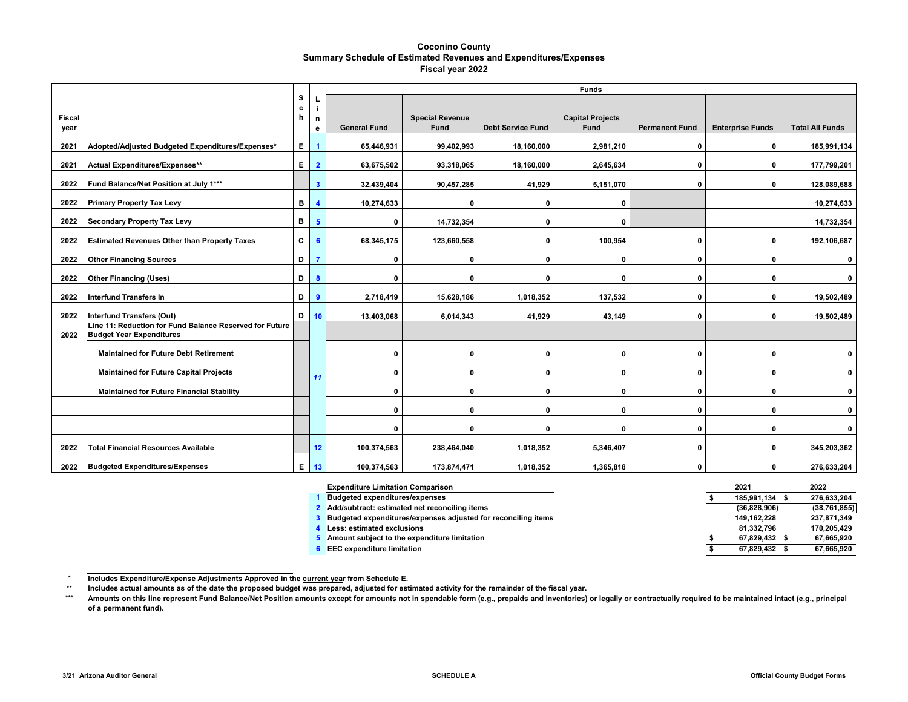#### **Coconino County Summary Schedule of Estimated Revenues and Expenditures/Expenses Fiscal year 2022**

|               |                                                                                            |              |                         |                     |                        |                          | <b>Funds</b>            |                       |                         |                         |
|---------------|--------------------------------------------------------------------------------------------|--------------|-------------------------|---------------------|------------------------|--------------------------|-------------------------|-----------------------|-------------------------|-------------------------|
| <b>Fiscal</b> |                                                                                            | s<br>с<br>h  | n                       |                     | <b>Special Revenue</b> |                          | <b>Capital Projects</b> |                       |                         |                         |
| year          |                                                                                            |              | е                       | <b>General Fund</b> | Fund                   | <b>Debt Service Fund</b> | <b>Fund</b>             | <b>Permanent Fund</b> | <b>Enterprise Funds</b> | <b>Total All Funds</b>  |
| 2021          | Adopted/Adjusted Budgeted Expenditures/Expenses*                                           | Е.           | $\blacktriangleleft$    | 65,446,931          | 99,402,993             | 18,160,000               | 2,981,210               | 0                     | $\mathbf 0$             | 185,991,134             |
| 2021          | Actual Expenditures/Expenses**                                                             | E            | $\overline{2}$          | 63,675,502          | 93,318,065             | 18,160,000               | 2,645,634               | 0                     | $\Omega$                | 177,799,201             |
| 2022          | Fund Balance/Net Position at July 1***                                                     |              | $\overline{\mathbf{3}}$ | 32,439,404          | 90,457,285             | 41,929                   | 5,151,070               | 0                     | $\Omega$                | 128,089,688             |
| 2022          | <b>Primary Property Tax Levy</b>                                                           | в            | $\overline{\mathbf{4}}$ | 10,274,633          | $\mathbf{0}$           | $\mathbf 0$              | $\mathbf{0}$            |                       |                         | 10,274,633              |
| 2022          | <b>Secondary Property Tax Levy</b>                                                         | в            | $5\phantom{1}$          | $\mathbf{0}$        | 14,732,354             | $\mathbf 0$              | $\Omega$                |                       |                         | 14,732,354              |
| 2022          | <b>Estimated Revenues Other than Property Taxes</b>                                        | $\mathbf{c}$ | 6                       | 68,345,175          | 123,660,558            | 0                        | 100,954                 | 0                     | 0                       | 192,106,687             |
| 2022          | <b>Other Financing Sources</b>                                                             | D            | $\overline{7}$          | $\mathbf{0}$        | $\mathbf 0$            | $\mathbf 0$              | $\mathbf{0}$            | $\mathbf{0}$          | $\mathbf{0}$            | $\mathbf 0$             |
| 2022          | <b>Other Financing (Uses)</b>                                                              | D            | 8                       | 0                   | $\mathbf{0}$           | $\mathbf 0$              | $\mathbf{0}$            | 0                     | $\mathbf{0}$            | $\overline{\mathbf{0}}$ |
| 2022          | <b>Interfund Transfers In</b>                                                              | D            | $\overline{9}$          | 2,718,419           | 15,628,186             | 1,018,352                | 137,532                 | $\mathbf{0}$          | $\Omega$                | 19,502,489              |
| 2022          | <b>Interfund Transfers (Out)</b>                                                           | D            | 10                      | 13,403,068          | 6,014,343              | 41,929                   | 43,149                  | 0                     | $\Omega$                | 19,502,489              |
| 2022          | Line 11: Reduction for Fund Balance Reserved for Future<br><b>Budget Year Expenditures</b> |              |                         |                     |                        |                          |                         |                       |                         |                         |
|               | <b>Maintained for Future Debt Retirement</b>                                               |              |                         | $\mathbf{0}$        | $\mathbf{0}$           | $\mathbf 0$              | $\mathbf{0}$            | 0                     | $\Omega$                | $\mathbf 0$             |
|               | <b>Maintained for Future Capital Projects</b>                                              |              | -11                     | $\mathbf{0}$        | $\mathbf{0}$           | $\mathbf 0$              | $\mathbf{0}$            | 0                     | $\Omega$                | $\mathbf 0$             |
|               | <b>Maintained for Future Financial Stability</b>                                           |              |                         | 0                   | $\mathbf{0}$           | $\mathbf 0$              | 0                       | 0                     | $\Omega$                | $\mathbf 0$             |
|               |                                                                                            |              |                         | $\mathbf 0$         | $\mathbf{0}$           | $\mathbf 0$              | $\mathbf{0}$            | $\mathbf{0}$          | $\Omega$                | $\mathbf 0$             |
|               |                                                                                            |              |                         | $\mathbf{0}$        | $\mathbf{0}$           | $\mathbf 0$              | $\Omega$                | 0                     | $\mathbf{0}$            | $\mathbf 0$             |
| 2022          | <b>Total Financial Resources Available</b>                                                 |              | 12                      | 100,374,563         | 238,464,040            | 1,018,352                | 5,346,407               | 0                     | $\Omega$                | 345,203,362             |
| 2022          | <b>Budgeted Expenditures/Expenses</b>                                                      |              | E 13                    | 100,374,563         | 173,874,471            | 1,018,352                | 1,365,818               | 0                     | $\Omega$                | 276,633,204             |

| <b>Expenditure Limitation Comparison</b>                      | 2021         | 2022           |
|---------------------------------------------------------------|--------------|----------------|
| <b>Budgeted expenditures/expenses</b>                         | 185.991.134  | 276.633.204    |
| 2 Add/subtract: estimated net reconciling items               | (36.828.906) | (38, 761, 855) |
| Budgeted expenditures/expenses adjusted for reconciling items | 149.162.228  | 237.871.349    |
| Less: estimated exclusions                                    | 81.332.796   | 170.205.429    |
| Amount subject to the expenditure limitation                  | 67.829.432   | 67.665.920     |
| <b>EEC</b> expenditure limitation                             | 67.829.432   | 67.665.920     |

 $^\star$ **Includes Expenditure/Expense Adjustments Approved in the current year from Schedule E.** 

<sup>\*\*</sup> **Includes actual amounts as of the date the proposed budget was prepared, adjusted for estimated activity for the remainder of the fiscal year.**

<sup>\*\*\*</sup> **Amounts on this line represent Fund Balance/Net Position amounts except for amounts not in spendable form (e.g., prepaids and inventories) or legally or contractually required to be maintained intact (e.g., principal of a permanent fund).**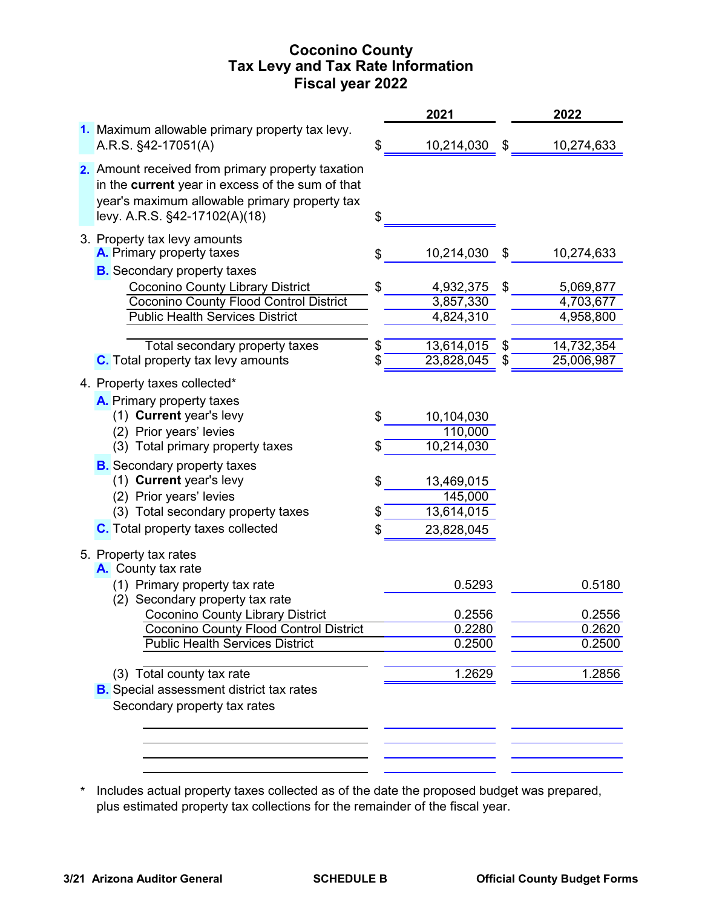# **Coconino County Fiscal year 2022 Tax Levy and Tax Rate Information**

|                                                                                                                                                                                                                                                       |          | 2021                                              |          | 2022                                 |
|-------------------------------------------------------------------------------------------------------------------------------------------------------------------------------------------------------------------------------------------------------|----------|---------------------------------------------------|----------|--------------------------------------|
| 1. Maximum allowable primary property tax levy.<br>A.R.S. §42-17051(A)                                                                                                                                                                                | \$       | 10,214,030                                        | \$       | 10,274,633                           |
| 2. Amount received from primary property taxation<br>in the current year in excess of the sum of that<br>year's maximum allowable primary property tax<br>levy. A.R.S. §42-17102(A)(18)                                                               | \$       |                                                   |          |                                      |
| 3. Property tax levy amounts<br>A. Primary property taxes                                                                                                                                                                                             | \$       | 10,214,030                                        | \$       | 10,274,633                           |
| <b>B.</b> Secondary property taxes<br><b>Coconino County Library District</b><br><b>Coconino County Flood Control District</b><br><b>Public Health Services District</b>                                                                              | \$       | 4,932,375<br>3,857,330<br>4,824,310               | \$       | 5,069,877<br>4,703,677<br>4,958,800  |
| Total secondary property taxes<br><b>C.</b> Total property tax levy amounts                                                                                                                                                                           | \$       | 13,614,015<br>23,828,045                          | \$<br>\$ | 14,732,354<br>25,006,987             |
| 4. Property taxes collected*<br>A. Primary property taxes<br>(1) Current year's levy<br>(2) Prior years' levies<br>(3) Total primary property taxes                                                                                                   | \$<br>\$ | 10,104,030<br>110,000<br>10,214,030               |          |                                      |
| <b>B.</b> Secondary property taxes<br>(1) Current year's levy<br>(2) Prior years' levies<br>(3) Total secondary property taxes<br><b>C.</b> Total property taxes collected                                                                            | \$<br>\$ | 13,469,015<br>145,000<br>13,614,015<br>23,828,045 |          |                                      |
| 5. Property tax rates<br>A. County tax rate<br>(1) Primary property tax rate<br>(2) Secondary property tax rate<br><b>Coconino County Library District</b><br><b>Coconino County Flood Control District</b><br><b>Public Health Services District</b> |          | 0.5293<br>0.2556<br>0.2280<br>0.2500              |          | 0.5180<br>0.2556<br>0.2620<br>0.2500 |
| (3) Total county tax rate<br><b>B.</b> Special assessment district tax rates<br>Secondary property tax rates                                                                                                                                          |          | 1.2629                                            |          | 1.2856                               |
|                                                                                                                                                                                                                                                       |          |                                                   |          |                                      |

\* Includes actual property taxes collected as of the date the proposed budget was prepared, plus estimated property tax collections for the remainder of the fiscal year.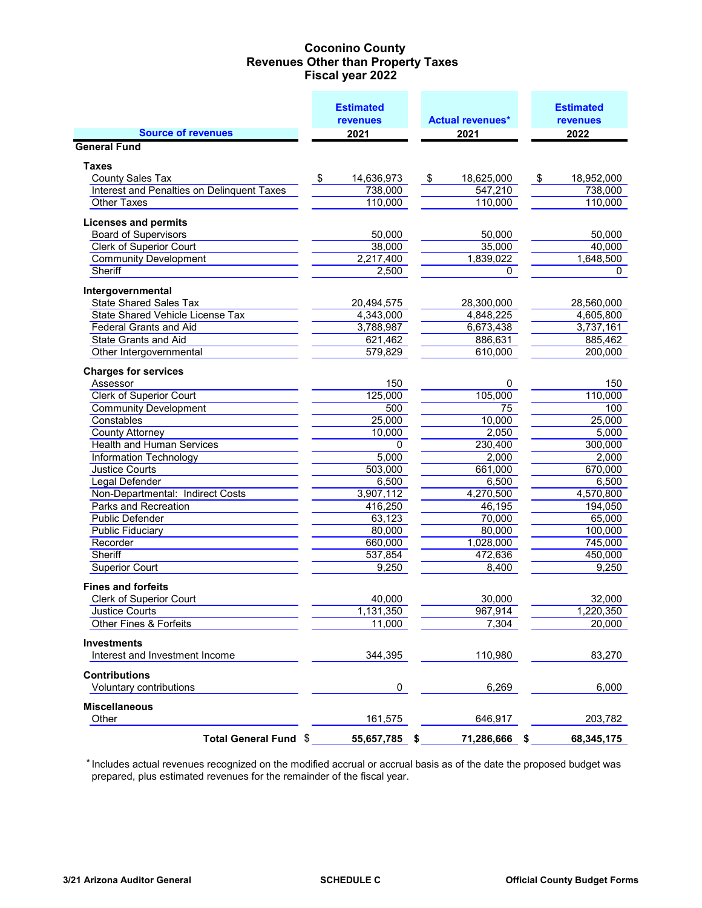## **Coconino County Fiscal year 2022 Revenues Other than Property Taxes**

|                                            | <b>Estimated</b><br><b>revenues</b> |    | <b>Actual revenues*</b> | <b>Estimated</b><br><b>revenues</b> |
|--------------------------------------------|-------------------------------------|----|-------------------------|-------------------------------------|
| <b>Source of revenues</b>                  | 2021                                |    | 2021                    | 2022                                |
| <b>General Fund</b>                        |                                     |    |                         |                                     |
| <b>Taxes</b>                               |                                     |    |                         |                                     |
| <b>County Sales Tax</b>                    | \$<br>14,636,973                    | \$ | 18,625,000              | \$<br>18,952,000                    |
| Interest and Penalties on Delinquent Taxes | 738,000                             |    | 547,210                 | 738,000                             |
| <b>Other Taxes</b>                         | 110,000                             |    | 110,000                 | 110,000                             |
| <b>Licenses and permits</b>                |                                     |    |                         |                                     |
| <b>Board of Supervisors</b>                | 50,000                              |    | 50,000                  | 50,000                              |
| <b>Clerk of Superior Court</b>             | 38,000                              |    | 35,000                  | 40,000                              |
| <b>Community Development</b>               | 2,217,400                           |    | 1,839,022               | 1,648,500                           |
| Sheriff                                    | 2,500                               |    | 0                       | 0                                   |
| Intergovernmental                          |                                     |    |                         |                                     |
| <b>State Shared Sales Tax</b>              | 20,494,575                          |    | 28,300,000              | 28,560,000                          |
| <b>State Shared Vehicle License Tax</b>    | 4,343,000                           |    | 4,848,225               | 4,605,800                           |
| <b>Federal Grants and Aid</b>              | 3,788,987                           |    | 6,673,438               | 3,737,161                           |
| State Grants and Aid                       | 621,462                             |    | 886,631                 | 885,462                             |
| Other Intergovernmental                    | 579,829                             |    | 610,000                 | 200,000                             |
| <b>Charges for services</b>                |                                     |    |                         |                                     |
| Assessor                                   | 150                                 |    | 0                       | 150                                 |
| <b>Clerk of Superior Court</b>             | 125,000                             |    | 105,000                 | 110,000                             |
| <b>Community Development</b>               | 500                                 |    | 75                      | 100                                 |
| Constables                                 | 25,000                              |    | 10,000                  | 25,000                              |
| <b>County Attorney</b>                     | 10,000                              |    | 2,050                   | 5,000                               |
| <b>Health and Human Services</b>           | 0                                   |    | 230,400                 | 300,000                             |
| <b>Information Technology</b>              | 5,000                               |    | 2,000                   | 2,000                               |
| Justice Courts                             | 503,000                             |    | 661,000                 | 670,000                             |
| Legal Defender                             | 6,500                               |    | 6,500                   | 6,500                               |
| Non-Departmental: Indirect Costs           | 3,907,112                           |    | 4,270,500               | 4,570,800                           |
| Parks and Recreation                       | 416,250                             |    | 46,195                  | 194,050                             |
| Public Defender                            | 63,123                              |    | 70,000                  | 65,000                              |
| <b>Public Fiduciary</b>                    | 80,000                              |    | 80,000                  | 100,000                             |
| Recorder                                   | 660,000                             |    | 1,028,000               | 745,000                             |
| Sheriff                                    | 537,854                             |    | 472,636                 | 450,000                             |
| <b>Superior Court</b>                      | 9,250                               |    | 8,400                   | 9,250                               |
| <b>Fines and forfeits</b>                  |                                     |    |                         |                                     |
| <b>Clerk of Superior Court</b>             | 40,000                              |    | 30,000                  | 32,000                              |
| Justice Courts                             | 1,131,350                           |    | 967,914                 | 1,220,350                           |
| Other Fines & Forfeits                     | 11,000                              |    | 7,304                   | 20,000                              |
| <b>Investments</b>                         |                                     |    |                         |                                     |
| Interest and Investment Income             | 344,395                             |    | 110,980                 | 83,270                              |
| <b>Contributions</b>                       |                                     |    |                         |                                     |
| Voluntary contributions                    | 0                                   |    | 6,269                   | 6,000                               |
| <b>Miscellaneous</b>                       |                                     |    |                         |                                     |
| Other                                      | 161,575                             |    | 646,917                 | 203,782                             |
| Total General Fund \$                      | 55,657,785 \$                       |    | 71,286,666              | \$<br>68,345,175                    |

 \* Includes actual revenues recognized on the modified accrual or accrual basis as of the date the proposed budget was prepared, plus estimated revenues for the remainder of the fiscal year.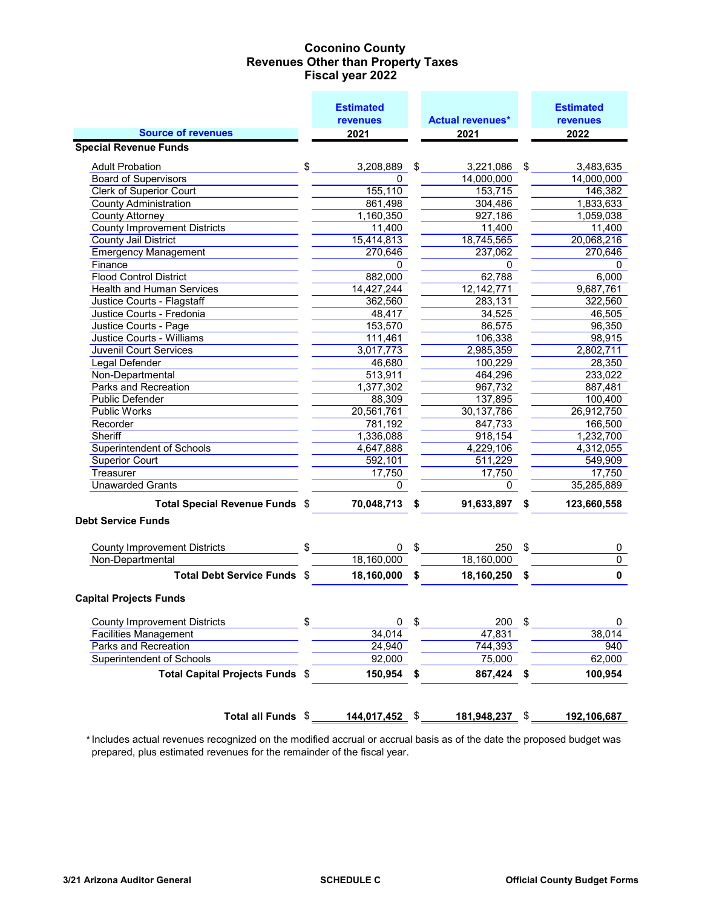## **Coconino County Fiscal year 2022 Revenues Other than Property Taxes**

|                                                         | <b>Estimated</b> |                         |    | <b>Estimated</b>    |
|---------------------------------------------------------|------------------|-------------------------|----|---------------------|
|                                                         | <b>revenues</b>  | <b>Actual revenues*</b> |    | <b>revenues</b>     |
| <b>Source of revenues</b>                               | 2021             | 2021                    |    | 2022                |
| <b>Special Revenue Funds</b>                            |                  |                         |    |                     |
| <b>Adult Probation</b>                                  | \$<br>3,208,889  | \$<br>3,221,086         | \$ | 3,483,635           |
| <b>Board of Supervisors</b>                             | 0                | 14,000,000              |    | 14,000,000          |
| <b>Clerk of Superior Court</b>                          | 155, 110         | 153,715                 |    | 146,382             |
| <b>County Administration</b>                            | 861,498          | 304,486                 |    | 1,833,633           |
| <b>County Attorney</b>                                  | 1,160,350        | 927,186                 |    | 1,059,038           |
| <b>County Improvement Districts</b>                     | 11,400           | 11,400                  |    | 11,400              |
| <b>County Jail District</b>                             | 15,414,813       | 18,745,565              |    | 20,068,216          |
| <b>Emergency Management</b>                             | 270,646          | 237,062                 |    | 270,646             |
| Finance                                                 | 0                | 0                       |    | 0                   |
| <b>Flood Control District</b>                           | 882,000          | 62,788                  |    | 6,000               |
| <b>Health and Human Services</b>                        | 14,427,244       | 12, 142, 771            |    | 9,687,761           |
| Justice Courts - Flagstaff                              | 362,560          | 283,131                 |    | 322,560             |
| Justice Courts - Fredonia                               | 48,417           | 34,525                  |    | 46,505              |
| Justice Courts - Page                                   | 153,570          | 86,575                  |    | 96,350              |
| <b>Justice Courts - Williams</b>                        | 111,461          | 106,338                 |    | 98,915              |
| <b>Juvenil Court Services</b>                           | 3,017,773        | 2,985,359               |    | 2,802,711           |
| Legal Defender                                          | 46,680           | 100,229                 |    | 28,350              |
| Non-Departmental                                        | 513,911          | 464,296                 |    | 233,022             |
| Parks and Recreation                                    | 1,377,302        | 967,732                 |    | 887,481             |
| <b>Public Defender</b>                                  | 88,309           | 137,895                 |    | 100,400             |
| <b>Public Works</b>                                     | 20,561,761       | 30,137,786              |    | 26,912,750          |
| Recorder                                                | 781,192          | 847,733                 |    | 166,500             |
| Sheriff                                                 | 1,336,088        | 918,154                 |    | 1,232,700           |
| <b>Superintendent of Schools</b>                        | 4,647,888        | 4,229,106               |    | 4,312,055           |
| <b>Superior Court</b>                                   | 592,101          | 511,229                 |    | 549,909             |
| Treasurer                                               | 17,750           | 17,750                  |    | 17,750              |
| <b>Unawarded Grants</b>                                 | 0                | 0                       |    | 35,285,889          |
| Total Special Revenue Funds \$                          | 70,048,713       | \$<br>91,633,897        | \$ | 123,660,558         |
| <b>Debt Service Funds</b>                               |                  |                         |    |                     |
|                                                         |                  |                         |    |                     |
| <b>County Improvement Districts</b><br>Non-Departmental | \$<br>0          | \$<br>250<br>18,160,000 | \$ | 0<br>$\overline{0}$ |
|                                                         | 18,160,000       |                         |    |                     |
| <b>Total Debt Service Funds \$</b>                      | 18,160,000       | \$<br>18,160,250        | \$ | $\mathbf 0$         |
| <b>Capital Projects Funds</b>                           |                  |                         |    |                     |
| <b>County Improvement Districts</b>                     | \$<br>0          | \$<br>200               | \$ | 0                   |
| <b>Facilities Management</b>                            | 34,014           | 47,831                  |    | 38,014              |
| Parks and Recreation                                    | 24,940           | 744,393                 |    | 940                 |
| <b>Superintendent of Schools</b>                        | 92,000           | 75,000                  |    | 62,000              |
| Total Capital Projects Funds \$                         | 150,954          | \$<br>867,424           | \$ | 100,954             |
|                                                         |                  |                         |    |                     |
|                                                         |                  |                         |    |                     |
| Total all Funds \$                                      | 144,017,452 \$   | 181,948,237             | S. | 192,106,687         |

 \*Includes actual revenues recognized on the modified accrual or accrual basis as of the date the proposed budget was prepared, plus estimated revenues for the remainder of the fiscal year.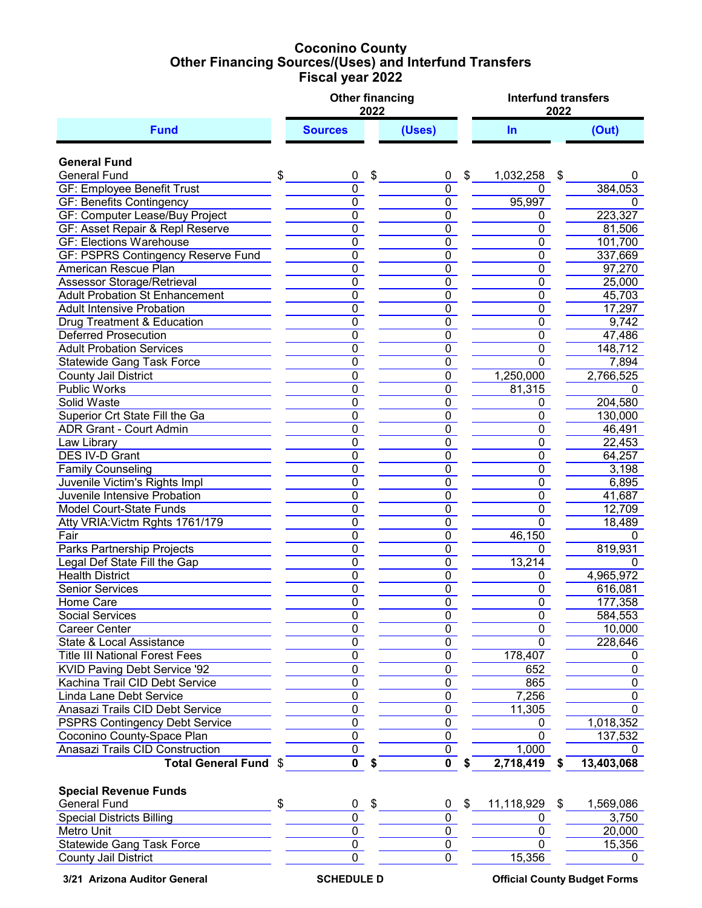## **Coconino County Fiscal year 2022 Other Financing Sources/(Uses) and Interfund Transfers**

|                                                               |                                  | 2022 | <b>Other financing</b>           | <b>Interfund transfers</b><br>2022 |                                  |                  |  |  |  |  |
|---------------------------------------------------------------|----------------------------------|------|----------------------------------|------------------------------------|----------------------------------|------------------|--|--|--|--|
| <b>Fund</b>                                                   | <b>Sources</b>                   |      | (Uses)                           |                                    | <b>In</b>                        | (Out)            |  |  |  |  |
| <b>General Fund</b>                                           |                                  |      |                                  |                                    |                                  |                  |  |  |  |  |
| <b>General Fund</b>                                           | \$<br>0                          | \$   | 0                                | \$                                 | 1,032,258<br>\$                  |                  |  |  |  |  |
| <b>GF: Employee Benefit Trust</b>                             | $\overline{0}$                   |      | 0                                |                                    | 0                                | 384,053          |  |  |  |  |
| <b>GF: Benefits Contingency</b>                               | $\overline{0}$                   |      | $\overline{0}$                   |                                    | 95,997                           | 0                |  |  |  |  |
| GF: Computer Lease/Buy Project                                | $\overline{0}$                   |      | $\overline{0}$                   |                                    | 0                                | 223,327          |  |  |  |  |
| <b>GF: Asset Repair &amp; Repl Reserve</b>                    | $\overline{0}$                   |      | $\overline{0}$                   |                                    | 0                                | 81,506           |  |  |  |  |
| <b>GF: Elections Warehouse</b>                                | $\overline{0}$                   |      | $\overline{0}$                   |                                    | $\overline{0}$                   | 101,700          |  |  |  |  |
| <b>GF: PSPRS Contingency Reserve Fund</b>                     | $\overline{0}$                   |      | $\overline{0}$                   |                                    | $\overline{0}$                   | 337,669          |  |  |  |  |
| American Rescue Plan                                          | $\overline{0}$                   |      | $\overline{0}$                   |                                    | 0                                | 97,270           |  |  |  |  |
| <b>Assessor Storage/Retrieval</b>                             | $\overline{0}$                   |      | $\overline{0}$                   |                                    | 0                                | 25,000           |  |  |  |  |
| <b>Adult Probation St Enhancement</b>                         | $\pmb{0}$                        |      | $\overline{0}$                   |                                    | 0                                | 45,703           |  |  |  |  |
| <b>Adult Intensive Probation</b>                              | $\pmb{0}$                        |      | $\pmb{0}$                        |                                    | 0                                | 17,297           |  |  |  |  |
| Drug Treatment & Education                                    | $\pmb{0}$                        |      | $\overline{0}$                   |                                    | 0                                | 9,742            |  |  |  |  |
| <b>Deferred Prosecution</b>                                   | $\pmb{0}$                        |      | 0                                |                                    | 0                                | 47,486           |  |  |  |  |
| <b>Adult Probation Services</b>                               | $\overline{0}$                   |      | $\overline{0}$                   |                                    | 0                                | 148,712          |  |  |  |  |
| <b>Statewide Gang Task Force</b>                              | $\overline{0}$                   |      | $\overline{0}$                   |                                    | $\Omega$                         | 7,894            |  |  |  |  |
| <b>County Jail District</b>                                   | $\overline{0}$                   |      | $\overline{0}$                   |                                    | 1,250,000                        | 2,766,525        |  |  |  |  |
| <b>Public Works</b>                                           | $\overline{0}$                   |      | $\overline{0}$                   |                                    | 81,315                           | 0                |  |  |  |  |
| <b>Solid Waste</b>                                            | $\overline{0}$                   |      | $\overline{0}$                   |                                    | 0                                | 204,580          |  |  |  |  |
| Superior Crt State Fill the Ga                                | $\overline{0}$                   |      | $\overline{0}$                   |                                    | 0                                | 130,000          |  |  |  |  |
| <b>ADR Grant - Court Admin</b>                                | $\overline{0}$                   |      | $\overline{0}$                   |                                    | $\overline{0}$                   | 46,491           |  |  |  |  |
| Law Library                                                   | $\overline{0}$                   |      | $\overline{0}$                   |                                    | $\overline{0}$                   | 22,453           |  |  |  |  |
| <b>DES IV-D Grant</b>                                         | $\overline{0}$                   |      | $\overline{0}$                   |                                    | 0                                | 64,257           |  |  |  |  |
| <b>Family Counseling</b>                                      | $\overline{0}$<br>$\overline{0}$ |      | $\overline{0}$<br>$\overline{0}$ |                                    | $\overline{0}$                   | 3,198            |  |  |  |  |
| Juvenile Victim's Rights Impl<br>Juvenile Intensive Probation | $\overline{0}$                   |      | $\overline{0}$                   |                                    | $\overline{0}$<br>$\overline{0}$ | 6,895            |  |  |  |  |
| <b>Model Court-State Funds</b>                                | $\overline{0}$                   |      | $\overline{0}$                   |                                    | 0                                | 41,687<br>12,709 |  |  |  |  |
| Atty VRIA: Victm Rghts 1761/179                               | $\overline{0}$                   |      | $\overline{0}$                   |                                    | $\overline{0}$                   | 18,489           |  |  |  |  |
| Fair                                                          | $\overline{0}$                   |      | $\overline{0}$                   |                                    | 46,150                           | 0                |  |  |  |  |
| <b>Parks Partnership Projects</b>                             | $\overline{0}$                   |      | $\overline{0}$                   |                                    | 0                                | 819,931          |  |  |  |  |
| Legal Def State Fill the Gap                                  | $\overline{0}$                   |      | $\overline{0}$                   |                                    | 13,214                           | 0                |  |  |  |  |
| <b>Health District</b>                                        | $\overline{0}$                   |      | $\overline{0}$                   |                                    | 0                                | 4,965,972        |  |  |  |  |
| <b>Senior Services</b>                                        | $\pmb{0}$                        |      | 0                                |                                    | 0                                | 616,081          |  |  |  |  |
| Home Care                                                     | $\Omega$                         |      | $\Omega$                         |                                    | $\Omega$                         | 177,358          |  |  |  |  |
| Social Services                                               | 0                                |      | 0                                |                                    | 0                                | 584,553          |  |  |  |  |
| Career Center                                                 | 0                                |      | 0                                |                                    | 0                                | 10,000           |  |  |  |  |
| State & Local Assistance                                      | 0                                |      | $\pmb{0}$                        |                                    | $\mathbf 0$                      | 228,646          |  |  |  |  |
| <b>Title III National Forest Fees</b>                         | $\mathbf 0$                      |      | 0                                |                                    | 178,407                          | 0                |  |  |  |  |
| KVID Paving Debt Service '92                                  | $\mathbf 0$                      |      | $\pmb{0}$                        |                                    | 652                              | 0                |  |  |  |  |
| Kachina Trail CID Debt Service                                | $\pmb{0}$                        |      | 0                                |                                    | 865                              | $\mathbf 0$      |  |  |  |  |
| <b>Linda Lane Debt Service</b>                                | $\overline{0}$                   |      | $\overline{0}$                   |                                    | 7,256                            | $\mathbf 0$      |  |  |  |  |
| Anasazi Trails CID Debt Service                               | $\overline{0}$                   |      | $\overline{0}$                   |                                    | 11,305                           | 0                |  |  |  |  |
| <b>PSPRS Contingency Debt Service</b>                         | $\overline{0}$                   |      | $\overline{0}$                   |                                    | 0                                | 1,018,352        |  |  |  |  |
| Coconino County-Space Plan                                    | $\overline{0}$                   |      | 0                                |                                    | 0                                | 137,532          |  |  |  |  |
| <b>Anasazi Trails CID Construction</b>                        | $\pmb{0}$                        |      | 0                                |                                    | 1,000                            | $^{(1)}$         |  |  |  |  |
| <b>Total General Fund</b>                                     | $\mathbf 0$                      |      | $\mathbf 0$                      | S                                  | 2,718,419                        | 13,403,068       |  |  |  |  |
| <b>Special Revenue Funds</b>                                  |                                  |      |                                  |                                    |                                  |                  |  |  |  |  |
| <b>General Fund</b>                                           | \$<br>0                          | \$   | 0                                | \$                                 | 11,118,929<br>\$                 | 1,569,086        |  |  |  |  |
| <b>Special Districts Billing</b>                              | $\mathbf 0$                      |      | 0                                |                                    | 0                                | 3,750            |  |  |  |  |
| Metro Unit                                                    | $\pmb{0}$                        |      | 0                                |                                    | 0                                | 20,000           |  |  |  |  |
| <b>Statewide Gang Task Force</b>                              | $\mathbf 0$                      |      | 0                                |                                    | 0                                | 15,356           |  |  |  |  |
| <b>County Jail District</b>                                   | 0                                |      | 0                                |                                    | 15,356                           | 0                |  |  |  |  |
|                                                               |                                  |      |                                  |                                    |                                  |                  |  |  |  |  |

**3/21 Arizona Auditor General SCHEDULE D Official County Budget Forms**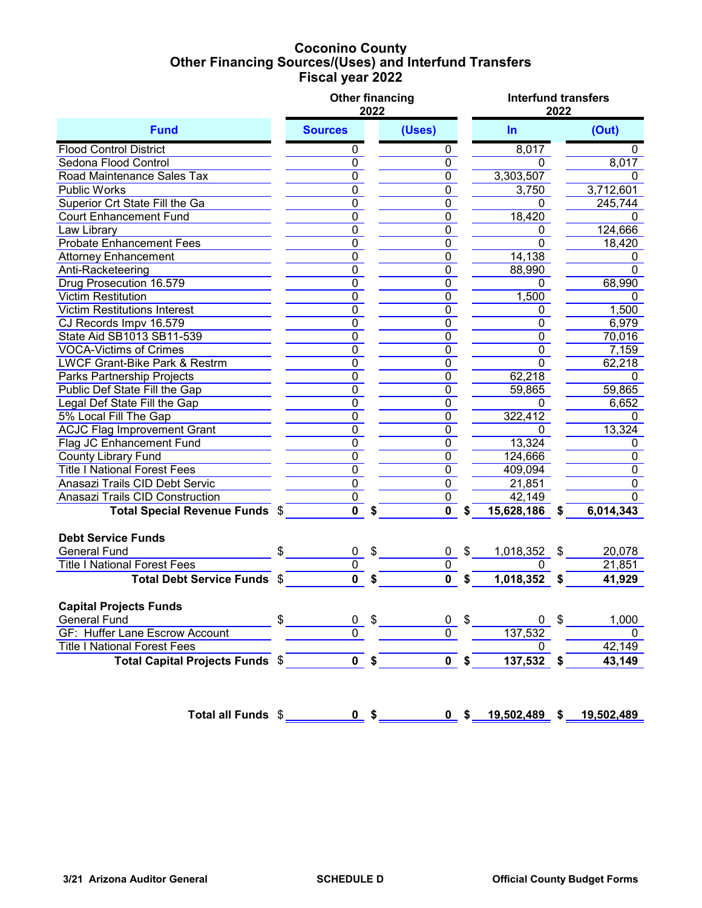## **Coconino County Fiscal year 2022 Other Financing Sources/(Uses) and Interfund Transfers**

|                                          |                         | 2022                      | <b>Other financing</b>  |                | <b>Interfund transfers</b> | 2022 |                  |
|------------------------------------------|-------------------------|---------------------------|-------------------------|----------------|----------------------------|------|------------------|
| <b>Fund</b>                              | <b>Sources</b>          |                           | (Uses)                  |                | $\ln$                      |      | (Out)            |
| <b>Flood Control District</b>            | 0                       |                           | $\pmb{0}$               |                | 8,017                      |      | 0                |
| Sedona Flood Control                     | $\overline{0}$          |                           | $\overline{0}$          |                | $\Omega$                   |      | 8,017            |
| Road Maintenance Sales Tax               | $\overline{0}$          |                           | $\pmb{0}$               |                | 3,303,507                  |      | $\mathbf{0}$     |
| <b>Public Works</b>                      | $\overline{0}$          |                           | $\pmb{0}$               |                | 3,750                      |      | 3,712,601        |
| Superior Crt State Fill the Ga           | $\overline{0}$          |                           | $\pmb{0}$               |                | 0                          |      | 245,744          |
| <b>Court Enhancement Fund</b>            | 0                       |                           | $\pmb{0}$               |                | 18,420                     |      | $\mathbf 0$      |
| Law Library                              | $\pmb{0}$               |                           | $\pmb{0}$               |                | 0                          |      | 124,666          |
| <b>Probate Enhancement Fees</b>          | $\overline{0}$          |                           | $\pmb{0}$               |                | 0                          |      | 18,420           |
| <b>Attorney Enhancement</b>              | $\overline{0}$          |                           | $\mathbf 0$             |                | 14,138                     |      | 0                |
| Anti-Racketeering                        | $\overline{0}$          |                           | $\overline{0}$          |                | 88,990                     |      | $\Omega$         |
| Drug Prosecution 16.579                  | $\overline{0}$          |                           | $\overline{0}$          |                | 0                          |      | 68,990           |
| <b>Victim Restitution</b>                | $\overline{0}$          |                           | $\overline{0}$          |                | 1,500                      |      | $\mathbf 0$      |
| <b>Victim Restitutions Interest</b>      | $\overline{0}$          |                           | $\overline{0}$          |                | 0                          |      | 1,500            |
| CJ Records Impv 16.579                   | $\overline{0}$          |                           | $\overline{0}$          |                | $\overline{0}$             |      | 6,979            |
| State Aid SB1013 SB11-539                | $\overline{0}$          |                           | $\overline{0}$          |                | $\overline{0}$             |      | 70,016           |
| <b>VOCA-Victims of Crimes</b>            | $\overline{0}$          |                           | $\overline{0}$          |                | $\overline{0}$             |      | 7,159            |
| <b>LWCF Grant-Bike Park &amp; Restrm</b> | $\overline{0}$          |                           | $\overline{0}$          |                | $\overline{0}$             |      | 62,218           |
| <b>Parks Partnership Projects</b>        | $\overline{0}$          |                           | $\overline{0}$          |                | 62,218                     |      | 0                |
| Public Def State Fill the Gap            | $\overline{0}$          |                           | $\overline{0}$          |                | 59,865                     |      | 59,865           |
| Legal Def State Fill the Gap             | $\overline{0}$          |                           | $\overline{0}$          |                | 0                          |      | 6,652            |
| 5% Local Fill The Gap                    | $\overline{0}$          |                           | $\overline{0}$          |                | 322,412                    |      | $\mathbf{0}$     |
| <b>ACJC Flag Improvement Grant</b>       | $\overline{0}$          |                           | $\overline{0}$          |                | 0                          |      | 13,324           |
| <b>Flag JC Enhancement Fund</b>          | $\overline{0}$          |                           | $\overline{0}$          |                | 13,324                     |      | 0                |
| <b>County Library Fund</b>               | $\overline{0}$          |                           | $\overline{0}$          |                | 124,666                    |      | $\pmb{0}$        |
| <b>Title I National Forest Fees</b>      | $\overline{0}$          |                           | $\overline{0}$          |                | 409,094                    |      | $\overline{0}$   |
| Anasazi Trails CID Debt Servic           | $\overline{0}$          |                           | $\overline{0}$          |                | 21,851                     |      | $\overline{0}$   |
| Anasazi Trails CID Construction          | $\overline{0}$          |                           | $\overline{0}$          |                | 42,149                     |      | $\overline{0}$   |
| Total Special Revenue Funds \$           | $\overline{\mathbf{0}}$ |                           | $\mathbf 0$             | \$             | 15,628,186                 | \$   | 6,014,343        |
| <b>Debt Service Funds</b>                |                         |                           |                         |                |                            |      |                  |
| <b>General Fund</b>                      | $\mathbf{0}$            | \$                        | 0                       | \$             | 1,018,352                  | S    |                  |
| <b>Title I National Forest Fees</b>      | $\overline{0}$          |                           | $\overline{0}$          |                |                            |      | 20,078<br>21,851 |
| Total Debt Service Funds \$              | $\overline{\mathbf{0}}$ |                           | $\overline{\mathbf{0}}$ |                | 1,018,352                  |      | 41,929           |
|                                          |                         |                           |                         | S              |                            |      |                  |
| <b>Capital Projects Funds</b>            |                         |                           |                         |                |                            |      |                  |
| <b>General Fund</b>                      | \$<br>0                 | $\boldsymbol{\mathsf{S}}$ | 0                       | \$             | 0                          | \$   | 1,000            |
| GF: Huffer Lane Escrow Account           | $\overline{0}$          |                           | $\Omega$                |                | 137,532                    |      | 0                |
| <b>Title I National Forest Fees</b>      |                         |                           |                         |                | 0                          |      | 42,149           |
| Total Capital Projects Funds \$          |                         | $\overline{0}$ \$         |                         | 0 <sup>5</sup> | 137,532                    | S    | 43,149           |
| Total all Funds \$                       |                         | $0$ \$                    |                         | 0 <sup>5</sup> | $19,502,489$ \$            |      | 19,502,489       |
|                                          |                         |                           |                         |                |                            |      |                  |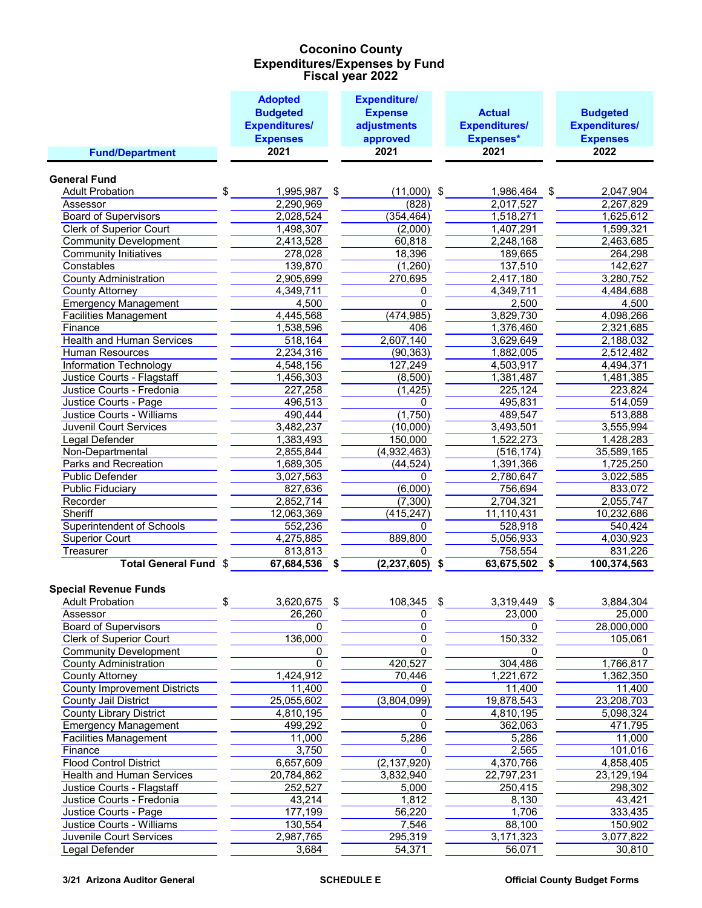### **Coconino County Fiscal year 2022 Expenditures/Expenses by Fund**

|                                     | <b>Adopted</b>       | <b>Expenditure/</b>      |                      |                      |
|-------------------------------------|----------------------|--------------------------|----------------------|----------------------|
|                                     | <b>Budgeted</b>      | <b>Expense</b>           | <b>Actual</b>        | <b>Budgeted</b>      |
|                                     | <b>Expenditures/</b> | adjustments              | <b>Expenditures/</b> | <b>Expenditures/</b> |
|                                     | <b>Expenses</b>      | approved                 | <b>Expenses*</b>     | <b>Expenses</b>      |
| <b>Fund/Department</b>              | 2021                 | 2021                     | 2021                 | 2022                 |
|                                     |                      |                          |                      |                      |
| <b>General Fund</b>                 |                      |                          |                      |                      |
| <b>Adult Probation</b>              | \$<br>1,995,987      | \$<br>$(11,000)$ \$      | 1,986,464            | \$<br>2,047,904      |
| Assessor                            | 2,290,969            | (828)                    | 2,017,527            | 2,267,829            |
| <b>Board of Supervisors</b>         | 2,028,524            | (354, 464)               | 1,518,271            | 1,625,612            |
| <b>Clerk of Superior Court</b>      | 1,498,307            | (2,000)                  | 1,407,291            | 1,599,321            |
| <b>Community Development</b>        | 2,413,528            | 60,818                   | 2,248,168            | 2,463,685            |
| <b>Community Initiatives</b>        | 278,028              | 18,396                   | 189,665              | 264,298              |
| Constables                          | 139,870              | (1,260)                  | 137,510              | 142,627              |
| <b>County Administration</b>        | 2,905,699            | 270,695                  | 2,417,180            | 3,280,752            |
| <b>County Attorney</b>              | 4,349,711            | 0                        | 4,349,711            | 4,484,688            |
| <b>Emergency Management</b>         | 4,500                | $\Omega$                 | 2,500                | 4,500                |
| <b>Facilities Management</b>        | 4,445,568            | (474, 985)               | 3,829,730            | 4,098,266            |
| Finance                             | 1,538,596            | 406                      | 1,376,460            | 2,321,685            |
| <b>Health and Human Services</b>    | 518,164              | 2,607,140                | 3,629,649            | 2,188,032            |
| Human Resources                     | 2,234,316            | (90, 363)                | 1,882,005            | 2,512,482            |
| Information Technology              | 4,548,156            | 127,249                  | 4,503,917            | 4,494,371            |
| Justice Courts - Flagstaff          | 1,456,303            | (8,500)                  | 1,381,487            | 1,481,385            |
| Justice Courts - Fredonia           | 227,258              | (1, 425)                 | 225,124              | 223,824              |
| Justice Courts - Page               | 496,513              | 0                        | 495,831              | 514,059              |
| <b>Justice Courts - Williams</b>    | 490,444              | (1,750)                  | 489,547              | 513,888              |
| <b>Juvenil Court Services</b>       | 3,482,237            | (10,000)                 | 3,493,501            | 3,555,994            |
| <b>Legal Defender</b>               | 1,383,493            | 150,000                  | 1,522,273            | 1,428,283            |
| Non-Departmental                    | 2,855,844            | (4,932,463)              | (516, 174)           | 35,589,165           |
| Parks and Recreation                | 1,689,305            | (44, 524)                | 1,391,366            | 1,725,250            |
| Public Defender                     | 3,027,563            | 0                        | 2,780,647            | 3,022,585            |
| <b>Public Fiduciary</b>             | 827,636              | (6,000)                  | 756,694              | 833,072              |
| Recorder                            | 2,852,714            | (7, 300)                 | 2,704,321            | 2,055,747            |
| Sheriff                             | 12,063,369           | (415, 247)               | 11,110,431           | 10,232,686           |
| Superintendent of Schools           | 552,236              | 0                        | 528,918              | 540,424              |
| <b>Superior Court</b>               | 4,275,885            | 889,800                  | 5,056,933            | 4,030,923            |
| Treasurer                           | 813,813              | 0                        | 758,554              | 831,226              |
| Total General Fund \$               | 67,684,536           | \$<br>$(2, 237, 605)$ \$ | 63,675,502           | \$<br>100,374,563    |
|                                     |                      |                          |                      |                      |
| <b>Special Revenue Funds</b>        |                      |                          |                      |                      |
| <b>Adult Probation</b>              | \$<br>3,620,675      | \$<br>108,345            | \$<br>3,319,449      | \$<br>3,884,304      |
| Assessor                            | 26,260               | $\pmb{0}$                | 23,000               | 25,000               |
| <b>Board of Supervisors</b>         | 0                    | 0                        | 0                    | 28,000,000           |
| <b>Clerk of Superior Court</b>      | 136,000              | $\overline{0}$           | 150,332              | 105,061              |
| <b>Community Development</b>        | 0                    | $\mathbf{0}$             | 0                    | 0                    |
| <b>County Administration</b>        | 0                    | 420,527                  | 304,486              | 1,766,817            |
| <b>County Attorney</b>              | 1,424,912            | 70,446                   | 1,221,672            | 1,362,350            |
| <b>County Improvement Districts</b> | 11,400               | 0                        | 11,400               | 11,400               |
| <b>County Jail District</b>         | 25,055,602           | (3,804,099)              | 19,878,543           | 23,208,703           |
| <b>County Library District</b>      | 4,810,195            | 0                        | 4,810,195            | 5,098,324            |
| <b>Emergency Management</b>         | 499,292              | $\mathbf{0}$             | 362,063              | 471,795              |
| <b>Facilities Management</b>        | 11,000               | 5,286                    | 5,286                | 11,000               |
| Finance                             | 3,750                | 0                        | 2,565                | 101,016              |
| <b>Flood Control District</b>       | 6,657,609            | (2, 137, 920)            | 4,370,766            | 4,858,405            |
| <b>Health and Human Services</b>    | 20,784,862           | 3,832,940                | 22,797,231           | 23,129,194           |
| Justice Courts - Flagstaff          | 252,527              | 5,000                    | 250,415              | 298,302              |
| Justice Courts - Fredonia           | 43,214               | 1,812                    | 8,130                | 43,421               |
| Justice Courts - Page               | 177,199              | 56,220                   | 1,706                | 333,435              |
| Justice Courts - Williams           | 130,554              | 7,546                    | 88,100               | 150,902              |
| Juvenile Court Services             | 2,987,765            | 295,319                  | 3,171,323            | 3,077,822            |
| Legal Defender                      | 3,684                | 54,371                   | 56,071               | 30,810               |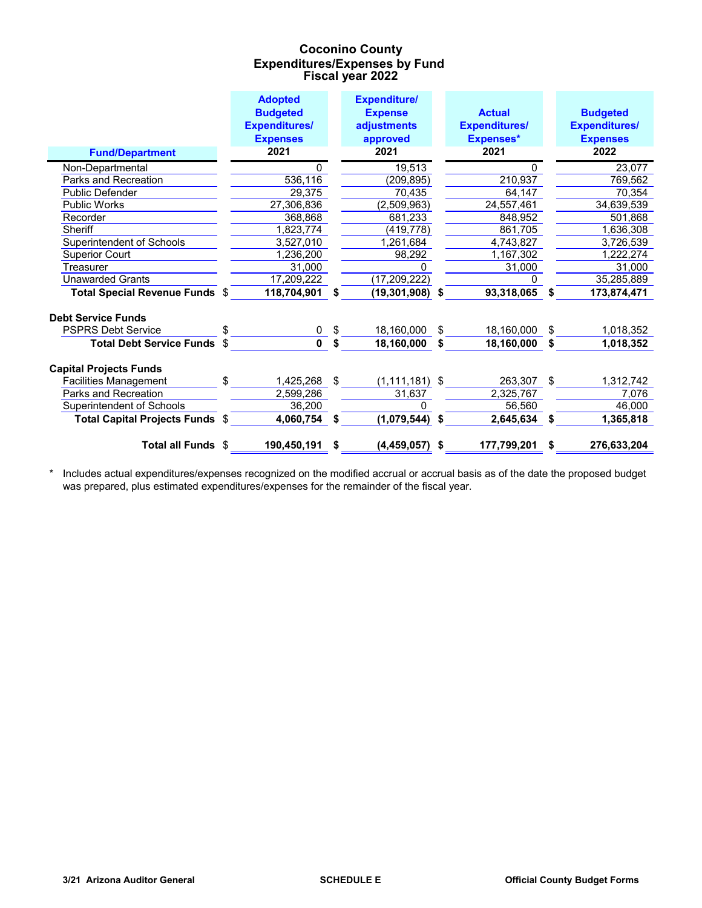### **Coconino County Fiscal year 2022 Expenditures/Expenses by Fund**

|                                 |     | <b>Adopted</b>       |    | <b>Expenditure/</b> |    |                      |    |                      |
|---------------------------------|-----|----------------------|----|---------------------|----|----------------------|----|----------------------|
|                                 |     | <b>Budgeted</b>      |    | <b>Expense</b>      |    | <b>Actual</b>        |    | <b>Budgeted</b>      |
|                                 |     | <b>Expenditures/</b> |    | adjustments         |    | <b>Expenditures/</b> |    | <b>Expenditures/</b> |
|                                 |     | <b>Expenses</b>      |    | approved            |    | Expenses*            |    | <b>Expenses</b>      |
| <b>Fund/Department</b>          |     | 2021                 |    | 2021                |    | 2021                 |    | 2022                 |
| Non-Departmental                |     | 0                    |    | 19,513              |    |                      |    | 23,077               |
| Parks and Recreation            |     | 536,116              |    | (209, 895)          |    | 210,937              |    | 769,562              |
| Public Defender                 |     | 29,375               |    | 70,435              |    | 64,147               |    | 70,354               |
| <b>Public Works</b>             |     | 27,306,836           |    | (2,509,963)         |    | 24,557,461           |    | 34,639,539           |
| Recorder                        |     | 368,868              |    | 681,233             |    | 848,952              |    | 501,868              |
| Sheriff                         |     | 1,823,774            |    | (419, 778)          |    | 861,705              |    | 1,636,308            |
| Superintendent of Schools       |     | 3,527,010            |    | 1,261,684           |    | 4,743,827            |    | 3,726,539            |
| <b>Superior Court</b>           |     | 1,236,200            |    | 98,292              |    | 1,167,302            |    | 1,222,274            |
| Treasurer                       |     | 31.000               |    | O                   |    | 31,000               |    | 31,000               |
| Unawarded Grants                |     | 17,209,222           |    | (17, 209, 222)      |    | U                    |    | 35,285,889           |
| Total Special Revenue Funds \$  |     | 118,704,901          | S  | $(19,301,908)$ \$   |    | 93,318,065           | S. | 173,874,471          |
| <b>Debt Service Funds</b>       |     |                      |    |                     |    |                      |    |                      |
| <b>PSPRS Debt Service</b>       | \$. | 0                    | \$ | 18,160,000          | \$ | 18,160,000           | \$ | 1,018,352            |
| <b>Total Debt Service Funds</b> | \$  | $\mathbf 0$          | S  | 18,160,000          | S  | 18,160,000           | \$ | 1,018,352            |
| <b>Capital Projects Funds</b>   |     |                      |    |                     |    |                      |    |                      |
| <b>Facilities Management</b>    | \$  | 1,425,268            | \$ | $(1, 111, 181)$ \$  |    | 263,307              | \$ | 1,312,742            |
| Parks and Recreation            |     | 2,599,286            |    | 31,637              |    | 2,325,767            |    | 7,076                |
| Superintendent of Schools       |     | 36,200               |    | U                   |    | 56.560               |    | 46,000               |
| Total Capital Projects Funds \$ |     | 4,060,754            | \$ | $(1,079,544)$ \$    |    | 2,645,634            | \$ | 1,365,818            |
| Total all Funds \$              |     | 190,450,191          | \$ | $(4,459,057)$ \$    |    | 177,799,201          | \$ | 276,633,204          |

\* Includes actual expenditures/expenses recognized on the modified accrual or accrual basis as of the date the proposed budget was prepared, plus estimated expenditures/expenses for the remainder of the fiscal year.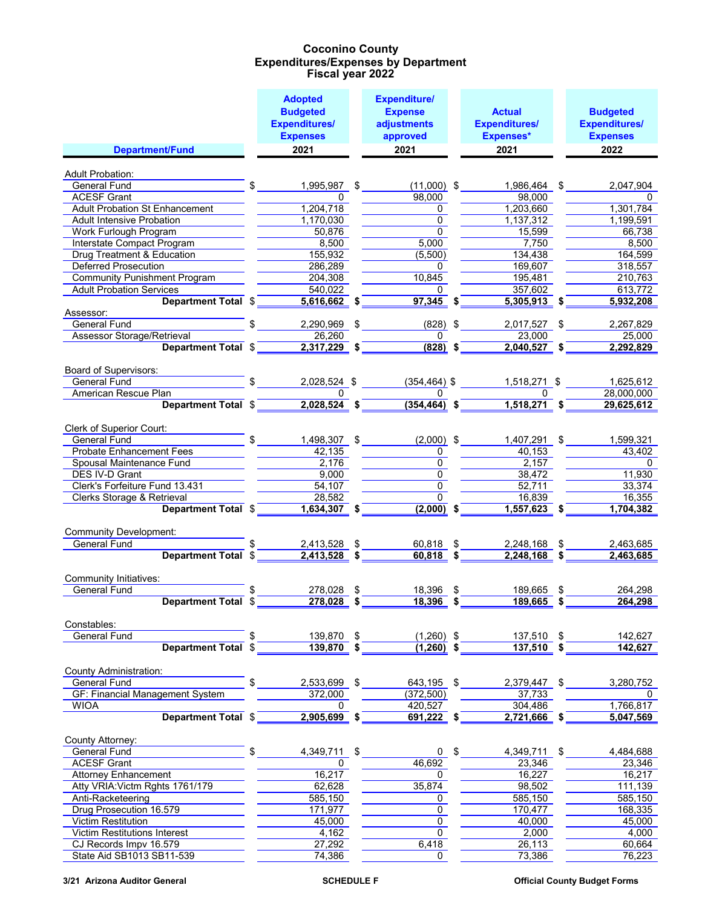|                                        | <b>Adopted</b>       | <b>Expenditure/</b> |                      |                      |
|----------------------------------------|----------------------|---------------------|----------------------|----------------------|
|                                        | <b>Budgeted</b>      | <b>Expense</b>      | <b>Actual</b>        | <b>Budgeted</b>      |
|                                        | <b>Expenditures/</b> | adjustments         | <b>Expenditures/</b> | <b>Expenditures/</b> |
|                                        | <b>Expenses</b>      | approved            | Expenses*            | <b>Expenses</b>      |
| Department/Fund                        | 2021                 | 2021                | 2021                 | 2022                 |
|                                        |                      |                     |                      |                      |
| <b>Adult Probation:</b>                |                      |                     |                      |                      |
| General Fund                           | \$<br>1,995,987 \$   | $(11,000)$ \$       | 1,986,464 \$         | 2,047,904            |
| <b>ACESF Grant</b>                     | 0                    | 98,000              | 98.000               | 0                    |
| <b>Adult Probation St Enhancement</b>  | 1,204,718            | 0                   | 1,203,660            | 1,301,784            |
| <b>Adult Intensive Probation</b>       | 1,170,030            | $\Omega$            | 1,137,312            | 1,199,591            |
| <b>Work Furlough Program</b>           | 50.876               | $\overline{0}$      | 15,599               | 66,738               |
| Interstate Compact Program             | 8,500                | 5,000               | 7,750                | 8,500                |
| Drug Treatment & Education             | 155,932              | (5,500)             | 134,438              | 164,599              |
| <b>Deferred Prosecution</b>            | 286,289              | 0                   | 169,607              | 318,557              |
| <b>Community Punishment Program</b>    | 204,308              | 10,845              | 195,481              | 210,763              |
| <b>Adult Probation Services</b>        | 540,022              | 0                   | 357,602              | 613,772              |
| Department Total \$                    | $5,616,662$ \$       | $97,345$ \$         | $5,305,913$ \$       | 5,932,208            |
| Assessor:<br><b>General Fund</b>       | 2,290,969            | \$<br>$(828)$ \$    | 2,017,527 \$         | 2,267,829            |
| <b>Assessor Storage/Retrieval</b>      | 26,260               | 0                   | 23,000               | 25,000               |
| Department Total \$                    | $2,317,229$ \$       | $(828)$ \$          | $2,040,527$ \$       | 2,292,829            |
|                                        |                      |                     |                      |                      |
| Board of Supervisors:                  |                      |                     |                      |                      |
| <b>General Fund</b>                    | 2,028,524 \$         | $(354, 464)$ \$     | 1,518,271 \$         | 1,625,612            |
| American Rescue Plan                   | 0                    | 0                   | 0                    | 28,000,000           |
| Department Total \$                    | $2,028,524$ \$       | $(354, 464)$ \$     | $1,518,271$ \$       | 29,625,612           |
|                                        |                      |                     |                      |                      |
| Clerk of Superior Court:               |                      |                     |                      |                      |
| <b>General Fund</b>                    | \$<br>1,498,307 \$   | $(2,000)$ \$        | 1,407,291 \$         | 1,599,321            |
| <b>Probate Enhancement Fees</b>        | 42,135               | 0                   | 40,153               | 43,402               |
| Spousal Maintenance Fund               | 2,176                | $\mathbf 0$         | 2,157                | 0                    |
| DES IV-D Grant                         | 9,000                | $\mathbf 0$         | 38,472               | 11,930               |
| Clerk's Forfeiture Fund 13.431         | $\overline{54, 107}$ | $\mathbf{0}$        | 52.711               | 33,374               |
| Clerks Storage & Retrieval             | 28,582               | $\Omega$            | 16,839               | 16,355               |
| Department Total \$                    | 1,634,307 \$         | $(2,000)$ \$        | $1,557,623$ \$       | 1,704,382            |
| <b>Community Development:</b>          |                      |                     |                      |                      |
| <b>General Fund</b>                    | 2,413,528            | 60,818 \$           | 2,248,168 \$         | 2,463,685            |
| Department Total \$                    | $2,413,528$ \$       | $60,818$ \$         | $2,248,168$ \$       | 2,463,685            |
|                                        |                      |                     |                      |                      |
| Community Initiatives:                 |                      |                     |                      |                      |
| <b>General Fund</b>                    | \$<br>278,028        | \$<br>18,396        | \$<br>189,665        | \$<br>264,298        |
| <b>Department Total</b>                | \$<br>278,028        | \$<br>18,396        | \$<br>189,665        | \$<br>264,298        |
|                                        |                      |                     |                      |                      |
| Constables:                            |                      |                     |                      |                      |
| <b>General Fund</b>                    | 139,870 \$           | $(1,260)$ \$        | 137,510 \$           | 142,627              |
| Department Total \$                    | 139,870              | $(1,260)$ \$        | $137,510$ \$         | 142,627              |
|                                        |                      |                     |                      |                      |
| County Administration:                 |                      |                     |                      |                      |
| <b>General Fund</b>                    | 2,533,699            | \$<br>643,195 \$    | 2,379,447 \$         | 3,280,752            |
| <b>GF: Financial Management System</b> | 372,000              | (372, 500)          | 37,733               | 0                    |
| <b>WIOA</b>                            | 0                    | 420,527             | 304,486              | 1,766,817            |
| Department Total \$                    | $2,905,699$ \$       | $691,222$ \$        | $2,721,666$ \$       | 5,047,569            |
| County Attorney:                       |                      |                     |                      |                      |
| General Fund                           | \$<br>4,349,711      | \$<br>0             | \$<br>4,349,711      | \$<br>4,484,688      |
| <b>ACESF Grant</b>                     | 0                    | 46,692              | 23,346               | 23,346               |
| <b>Attorney Enhancement</b>            | 16,217               | 0                   | 16,227               | 16,217               |
| Atty VRIA: Victm Rghts 1761/179        | 62,628               | 35,874              | 98,502               | 111,139              |
| Anti-Racketeering                      | 585,150              | 0                   | 585,150              | 585,150              |
| Drug Prosecution 16.579                | 171,977              | $\overline{0}$      | 170,477              | 168,335              |
| <b>Victim Restitution</b>              | 45,000               | 0                   | 40,000               | 45,000               |
| <b>Victim Restitutions Interest</b>    | 4,162                | $\Omega$            | 2,000                | 4,000                |
| CJ Records Impv 16.579                 | 27,292               | 6,418               | 26,113               | 60,664               |
| State Aid SB1013 SB11-539              | 74,386               | $\Omega$            | 73,386               | 76,223               |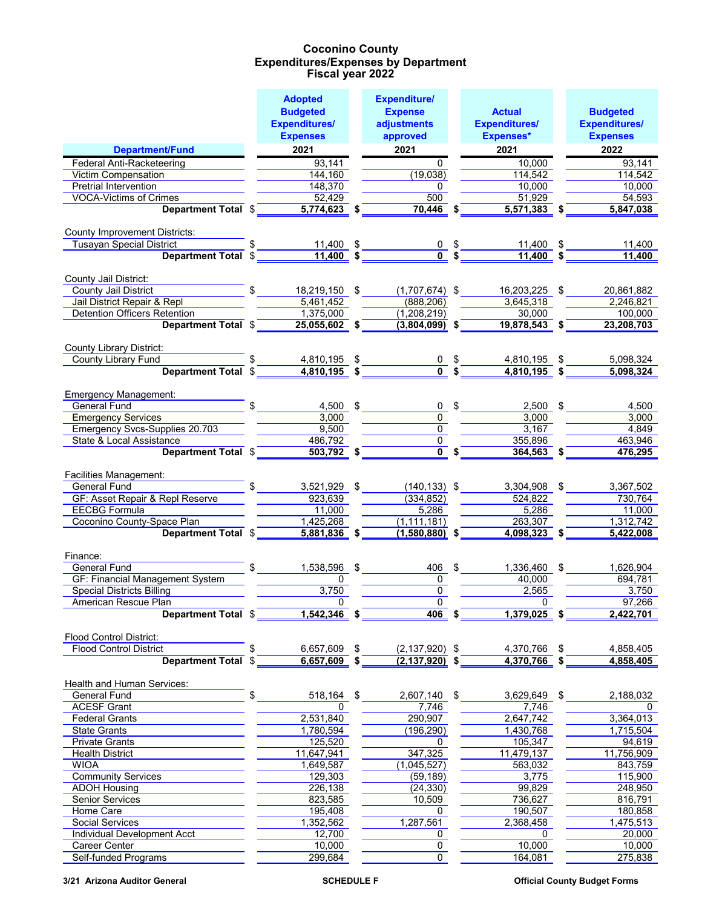|                                                                    | <b>Adopted</b>                   | <b>Expenditure/</b>            |            |                            |                         |
|--------------------------------------------------------------------|----------------------------------|--------------------------------|------------|----------------------------|-------------------------|
|                                                                    | <b>Budgeted</b>                  | <b>Expense</b>                 |            | <b>Actual</b>              | <b>Budgeted</b>         |
|                                                                    | <b>Expenditures/</b>             | adjustments                    |            | <b>Expenditures/</b>       | <b>Expenditures/</b>    |
|                                                                    | <b>Expenses</b>                  | approved                       |            | Expenses*                  | <b>Expenses</b>         |
| Department/Fund                                                    | 2021                             | 2021                           |            | 2021                       | 2022                    |
| Federal Anti-Racketeering                                          | 93,141                           | $\Omega$                       |            | 10,000                     | 93,141                  |
| Victim Compensation                                                | 144,160                          | (19,038)                       |            | 114,542                    | 114,542                 |
| <b>Pretrial Intervention</b>                                       | 148,370                          | $\Omega$                       |            | 10.000                     | 10,000                  |
| <b>VOCA-Victims of Crimes</b>                                      | 52,429                           | 500                            |            | 51,929                     | 54,593                  |
| Department Total \$                                                | 5,774,623 \$                     | 70,446 \$                      |            | 5,571,383 \$               | 5,847,038               |
|                                                                    |                                  |                                |            |                            |                         |
| <b>County Improvement Districts:</b>                               |                                  |                                |            |                            |                         |
| <b>Tusayan Special District</b>                                    | 11,400                           |                                |            | 11,400 \$                  | 11,400                  |
| Department Total \$                                                | $11,400$ \$                      | $\overline{0}$ s               |            | $11,400$ \$                | 11,400                  |
|                                                                    |                                  |                                |            |                            |                         |
| County Jail District:                                              |                                  |                                |            |                            |                         |
| County Jail District<br>Jail District Repair & Repl                | \$<br>18,219,150 \$<br>5,461,452 | $(1,707,674)$ \$<br>(888, 206) |            | 16,203,225 \$<br>3,645,318 | 20,861,882<br>2,246,821 |
| <b>Detention Officers Retention</b>                                | 1,375,000                        | (1,208,219)                    |            | 30,000                     | 100,000                 |
| Department Total \$                                                | $25,055,602$ \$                  | $(3,804,099)$ \$               |            | $19,878,543$ \$            | 23,208,703              |
|                                                                    |                                  |                                |            |                            |                         |
| <b>County Library District:</b>                                    |                                  |                                |            |                            |                         |
| County Library Fund                                                | 4,810,195 \$                     | $0 \quad$ \$                   |            | 4,810,195 \$               | 5,098,324               |
| Department Total \$                                                | $4,810,195$ \$                   | $\overline{0}$ \$              |            | $4,810,195$ \$             | 5,098,324               |
|                                                                    |                                  |                                |            |                            |                         |
| Emergency Management:                                              |                                  |                                |            |                            |                         |
| <b>General Fund</b>                                                | $4,500$ \$                       | 0                              | $\sqrt{3}$ | $2,500$ \$                 | 4,500                   |
| <b>Emergency Services</b>                                          | 3,000                            | $\overline{0}$                 |            | 3,000                      | 3,000                   |
| <b>Emergency Svcs-Supplies 20.703</b>                              | 9,500                            | $\overline{0}$                 |            | 3,167                      | 4,849                   |
| <b>State &amp; Local Assistance</b>                                | 486,792                          | $\overline{0}$                 |            | 355,896                    | 463,946                 |
| Department Total \$                                                | $503,792$ \$                     | $\overline{0}$ \$              |            | $364,563$ \$               | 476,295                 |
|                                                                    |                                  |                                |            |                            |                         |
| Facilities Management:                                             |                                  |                                |            |                            |                         |
| <b>General Fund</b>                                                | 3,521,929 \$                     | $(140, 133)$ \$                |            | 3,304,908 \$               | 3,367,502               |
| <b>GF: Asset Repair &amp; Repl Reserve</b><br><b>EECBG Formula</b> | 923,639<br>11,000                | (334, 852)<br>5,286            |            | 524,822<br>5,286           | 730,764<br>11,000       |
| Coconino County-Space Plan                                         | 1,425,268                        | (1, 111, 181)                  |            | 263,307                    | 1,312,742               |
| Department Total \$                                                | $5,881,836$ \$                   | $(1,580,880)$ \$               |            | $4,098,323$ \$             | 5,422,008               |
|                                                                    |                                  |                                |            |                            |                         |
| Finance:                                                           |                                  |                                |            |                            |                         |
| <b>General Fund</b>                                                | 1,538,596 \$                     | 406 \$                         |            | 1,336,460 \$               | 1,626,904               |
| <b>GF: Financial Management System</b>                             | 0                                | $\mathbf{0}$                   |            | 40.000                     | 694,781                 |
| <b>Special Districts Billing</b>                                   | 3,750                            | $\overline{0}$                 |            | 2,565                      | 3,750                   |
| American Rescue Plan                                               | 0                                | $\Omega$                       |            | 0                          | 97,266                  |
| Department Total \$                                                | $1,542,346$ \$                   | $406$ \$                       |            | 1,379,025 \$               | 2,422,701               |
|                                                                    |                                  |                                |            |                            |                         |
| <b>Flood Control District:</b>                                     |                                  |                                |            |                            |                         |
| <b>Flood Control District</b>                                      | 6,657,609 \$                     | $(2, 137, 920)$ \$             |            | 4,370,766 \$               | 4,858,405               |
| <b>Department Total \$</b>                                         | $6,657,609$ \$                   | $(2, 137, 920)$ \$             |            | $4,370,766$ \$             | 4,858,405               |
|                                                                    |                                  |                                |            |                            |                         |
| Health and Human Services:<br><b>General Fund</b>                  | \$                               | 2,607,140 \$                   |            |                            |                         |
| <b>ACESF Grant</b>                                                 | 518,164 \$<br>0                  | 7,746                          |            | 3,629,649 \$<br>7,746      | 2,188,032<br>0          |
| <b>Federal Grants</b>                                              | 2,531,840                        | 290,907                        |            | 2,647,742                  | 3,364,013               |
| <b>State Grants</b>                                                | 1,780,594                        | (196, 290)                     |            | 1,430,768                  | 1,715,504               |
| <b>Private Grants</b>                                              | 125,520                          | 0                              |            | 105,347                    | 94,619                  |
| <b>Health District</b>                                             | 11,647,941                       | 347,325                        |            | 11,479,137                 | 11,756,909              |
| <b>WIOA</b>                                                        | 1,649,587                        | (1,045,527)                    |            | 563,032                    | 843,759                 |
| <b>Community Services</b>                                          | 129,303                          | (59, 189)                      |            | 3,775                      | 115,900                 |
| <b>ADOH Housing</b>                                                | 226,138                          | (24, 330)                      |            | 99,829                     | 248,950                 |
| <b>Senior Services</b>                                             | 823,585                          | 10,509                         |            | 736,627                    | 816,791                 |
| Home Care                                                          | 195,408                          | 0                              |            | 190,507                    | 180,858                 |
| <b>Social Services</b>                                             | 1,352,562                        | 1,287,561                      |            | 2,368,458                  | 1,475,513               |
| Individual Development Acct                                        | 12,700                           | 0                              |            | 0                          | 20,000                  |
| <b>Career Center</b>                                               | 10,000                           | 0                              |            | 10,000                     | 10,000                  |
| <b>Self-funded Programs</b>                                        | 299,684                          | $\overline{0}$                 |            | 164,081                    | 275,838                 |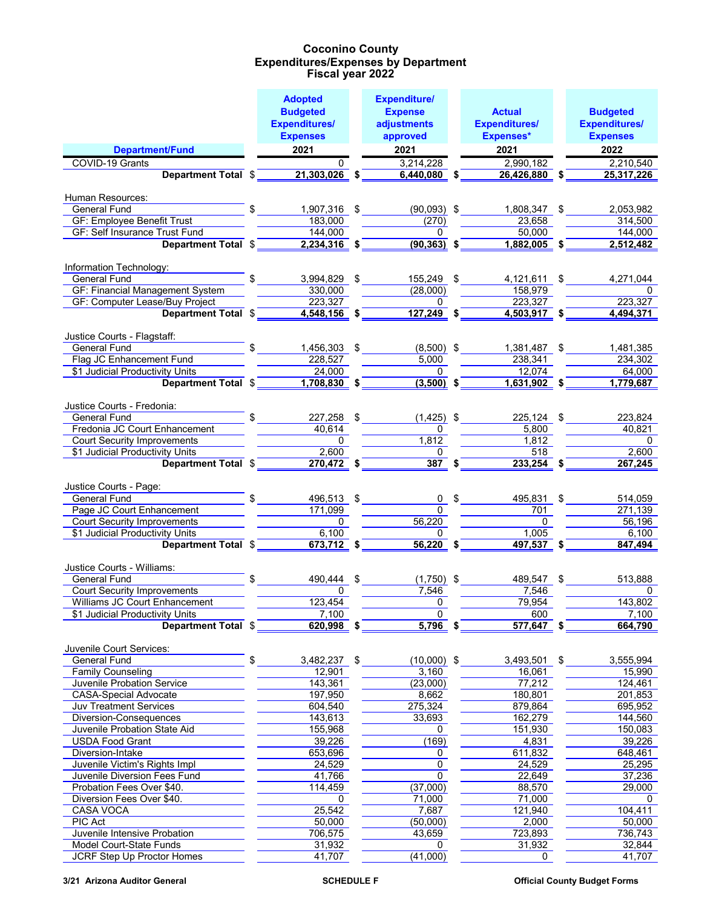|                                                                    | <b>Adopted</b>          | <b>Expenditure/</b>   |                         |                      |
|--------------------------------------------------------------------|-------------------------|-----------------------|-------------------------|----------------------|
|                                                                    | <b>Budgeted</b>         | <b>Expense</b>        | <b>Actual</b>           | <b>Budgeted</b>      |
|                                                                    | <b>Expenditures/</b>    | adjustments           | <b>Expenditures/</b>    | <b>Expenditures/</b> |
|                                                                    | <b>Expenses</b>         | approved              | Expenses*               | <b>Expenses</b>      |
| <b>Department/Fund</b>                                             | 2021                    | 2021                  | 2021                    | 2022                 |
| COVID-19 Grants                                                    | $\Omega$                | 3,214,228             | 2,990,182               | 2,210,540            |
| Department Total \$                                                | $21,303,026$ \$         | 6,440,080 \$          | 26,426,880 \$           | 25,317,226           |
|                                                                    |                         |                       |                         |                      |
| Human Resources:                                                   |                         |                       |                         |                      |
| <b>General Fund</b>                                                | 1,907,316 \$            | $(90,093)$ \$         | 1,808,347 \$            | 2,053,982            |
| <b>GF: Employee Benefit Trust</b><br>GF: Self Insurance Trust Fund | 183,000<br>144,000      | (270)<br>$\Omega$     | 23,658<br>50,000        | 314,500<br>144,000   |
| Department Total \$                                                | $2,234,316$ \$          | $(90, 363)$ \$        | $1,882,005$ \$          | 2,512,482            |
|                                                                    |                         |                       |                         |                      |
| Information Technology:                                            |                         |                       |                         |                      |
| <b>General Fund</b>                                                | 3,994,829 \$            | 155,249 \$            | 4,121,611 \$            | 4,271,044            |
| <b>GF: Financial Management System</b>                             | 330,000                 | (28,000)              | 158,979                 | $\Omega$             |
| GF: Computer Lease/Buy Project                                     | 223.327                 | $\Omega$              | 223,327                 | 223,327              |
| Department Total \$                                                | 4,548,156 \$            | $127,249$ \$          | $4,503,917$ \$          | 4,494,371            |
|                                                                    |                         |                       |                         |                      |
| Justice Courts - Flagstaff:<br><b>General Fund</b>                 |                         |                       |                         |                      |
| Flag JC Enhancement Fund                                           | 1,456,303 \$<br>228,527 | $(8,500)$ \$<br>5,000 | 1,381,487 \$<br>238,341 | 1,481,385<br>234,302 |
| \$1 Judicial Productivity Units                                    | 24,000                  | $\Omega$              | 12,074                  | 64,000               |
| Department Total \$                                                | $1,708,830$ \$          | $(3,500)$ \$          | $1,631,902$ \$          | 1,779,687            |
|                                                                    |                         |                       |                         |                      |
| Justice Courts - Fredonia:                                         |                         |                       |                         |                      |
| <b>General Fund</b>                                                | 227,258 \$              | $(1,425)$ \$          | 225,124 \$              | 223,824              |
| Fredonia JC Court Enhancement                                      | 40,614                  | 0                     | 5,800                   | 40,821               |
| <b>Court Security Improvements</b>                                 | $\overline{0}$          | 1,812                 | 1,812                   | $\Omega$             |
| \$1 Judicial Productivity Units                                    | 2,600                   | $\Omega$              | 518                     | 2,600                |
| Department Total \$                                                | $270,472$ \$            | $387 \text{ }$ \$     | 233,254 \$              | 267,245              |
| Justice Courts - Page:                                             |                         |                       |                         |                      |
| General Fund                                                       | 496,513 \$              | 0 <sup>5</sup>        | 495,831                 | \$<br>514,059        |
| Page JC Court Enhancement                                          | 171,099                 | $\Omega$              | 701                     | 271,139              |
| <b>Court Security Improvements</b>                                 | $\mathbf{0}$            | 56,220                | $\overline{0}$          | 56,196               |
| \$1 Judicial Productivity Units                                    | 6,100                   | $\Omega$              | 1,005                   | 6,100                |
| Department Total \$                                                | $673,712$ \$            | $56,220$ \$           | $497,537$ \$            | 847,494              |
|                                                                    |                         |                       |                         |                      |
| Justice Courts - Williams:                                         |                         |                       |                         |                      |
| <b>General Fund</b><br><b>Court Security Improvements</b>          | \$<br>490.444 \$<br>0   | $(1,750)$ \$<br>7,546 | 489,547 \$<br>7.546     | 513,888<br>0         |
| <b>Williams JC Court Enhancement</b>                               | 123,454                 | $\Omega$              | 79,954                  | 143,802              |
| \$1 Judicial Productivity Units                                    | 7,100                   | $\mathbf 0$           | 600                     | 7,100                |
| Department Total \$                                                | $620,998$ \$            | $5,796$ \$            | $577,647$ \$            | 664,790              |
|                                                                    |                         |                       |                         |                      |
| Juvenile Court Services:                                           |                         |                       |                         |                      |
| <b>General Fund</b>                                                | \$<br>3,482,237 \$      | $(10,000)$ \$         | 3,493,501 \$            | 3,555,994            |
| <b>Family Counseling</b>                                           | 12,901                  | 3,160                 | 16,061                  | 15,990               |
| <b>Juvenile Probation Service</b>                                  | 143,361                 | (23,000)              | 77,212                  | 124,461              |
| <b>CASA-Special Advocate</b>                                       | 197,950                 | 8,662                 | 180,801                 | 201,853              |
| Juv Treatment Services                                             | 604,540<br>143,613      | 275,324<br>33,693     | 879,864                 | 695,952<br>144,560   |
| Diversion-Consequences<br>Juvenile Probation State Aid             | 155,968                 | 0                     | 162,279<br>151,930      | 150,083              |
| <b>USDA Food Grant</b>                                             | 39,226                  | (169)                 | 4,831                   | 39,226               |
| Diversion-Intake                                                   | 653,696                 | 0                     | 611,832                 | 648,461              |
| Juvenile Victim's Rights Impl                                      | 24,529                  | $\mathbf 0$           | 24,529                  | 25,295               |
| Juvenile Diversion Fees Fund                                       | 41,766                  | $\mathbf 0$           | 22,649                  | 37,236               |
| Probation Fees Over \$40.                                          | 114,459                 | (37,000)              | 88,570                  | 29,000               |
| Diversion Fees Over \$40.                                          | 0                       | 71,000                | 71,000                  | 0                    |
| <b>CASA VOCA</b>                                                   | 25,542                  | 7,687                 | 121,940                 | 104,411              |
| <b>PIC Act</b>                                                     | 50,000                  | (50,000)              | 2,000                   | 50,000               |
| Juvenile Intensive Probation                                       | 706,575                 | 43,659                | 723,893                 | 736,743              |
| Model Court-State Funds                                            | 31,932                  | 0                     | 31,932                  | 32,844               |
| <b>JCRF Step Up Proctor Homes</b>                                  | 41,707                  | (41,000)              | 0                       | 41,707               |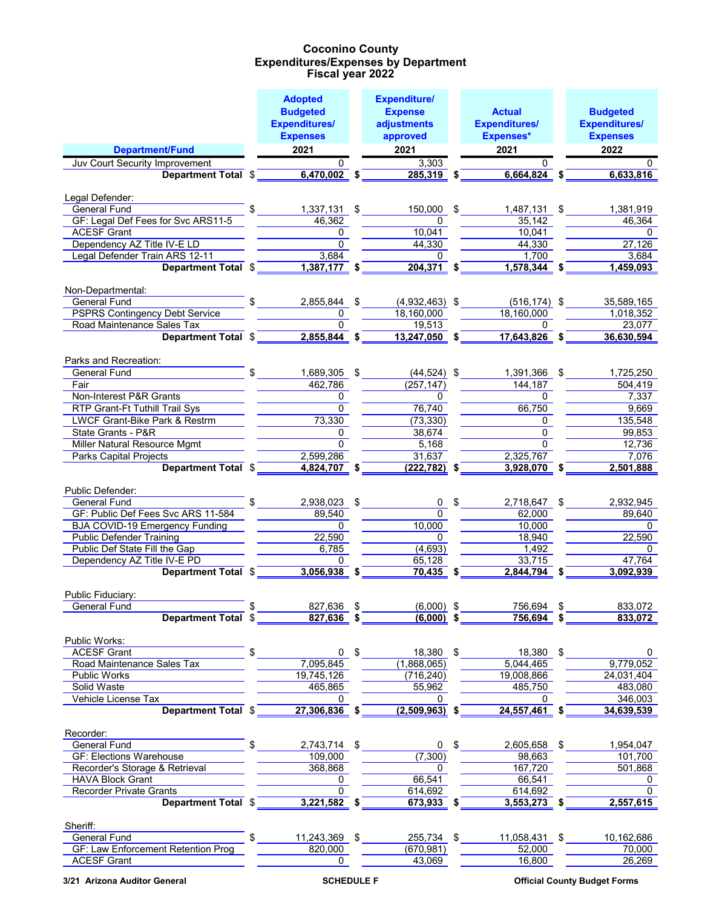|                                                                  | <b>Adopted</b>          | <b>Expenditure/</b>       |                         |                      |
|------------------------------------------------------------------|-------------------------|---------------------------|-------------------------|----------------------|
|                                                                  | <b>Budgeted</b>         | <b>Expense</b>            | <b>Actual</b>           | <b>Budgeted</b>      |
|                                                                  | <b>Expenditures/</b>    | adjustments               | <b>Expenditures/</b>    | <b>Expenditures/</b> |
|                                                                  | <b>Expenses</b>         | approved                  | <b>Expenses*</b>        | <b>Expenses</b>      |
| <b>Department/Fund</b>                                           | 2021                    | 2021                      | 2021                    | 2022                 |
| Juv Court Security Improvement                                   | O.                      | 3,303                     | 0                       | 0                    |
| Department Total \$                                              | $6,470,002$ \$          | 285,319 \$                | $6,664,824$ \$          | 6,633,816            |
|                                                                  |                         |                           |                         |                      |
| Legal Defender:                                                  |                         |                           |                         |                      |
| <b>General Fund</b>                                              | $1,337,131$ \$          | 150,000 \$                | 1,487,131 \$            | 1,381,919            |
| GF: Legal Def Fees for Svc ARS11-5<br><b>ACESF Grant</b>         | 46,362                  | 0                         | 35,142                  | 46,364               |
| Dependency AZ Title IV-E LD                                      | $\Omega$<br>$\mathbf 0$ | 10,041<br>44,330          | 10.041<br>44,330        | $\Omega$<br>27,126   |
| Legal Defender Train ARS 12-11                                   | 3,684                   | $\Omega$                  | 1,700                   | 3,684                |
| Department Total \$                                              | $1,387,177$ \$          | 204,371 \$                | 1,578,344 \$            | 1,459,093            |
|                                                                  |                         |                           |                         |                      |
| Non-Departmental:                                                |                         |                           |                         |                      |
| <b>General Fund</b>                                              | \$<br>2,855,844         | \$<br>$(4,932,463)$ \$    | $(516, 174)$ \$         | 35,589,165           |
| <b>PSPRS Contingency Debt Service</b>                            | 0                       | 18,160,000                | 18,160,000              | 1,018,352            |
| Road Maintenance Sales Tax                                       | $\Omega$                | 19,513                    | 0                       | 23,077               |
| Department Total \$                                              | 2,855,844 \$            | $13,247,050$ \$           | 17,643,826 \$           | 36,630,594           |
|                                                                  |                         |                           |                         |                      |
| Parks and Recreation:                                            |                         |                           |                         |                      |
| General Fund                                                     | \$<br>1,689,305 \$      | $(44,524)$ \$             | 1,391,366 \$            | 1,725,250            |
| Fair<br>Non-Interest P&R Grants                                  | 462.786<br>$\Omega$     | (257, 147)<br>0           | 144.187<br>$\Omega$     | 504,419<br>7,337     |
| RTP Grant-Ft Tuthill Trail Sys                                   | $\Omega$                | 76,740                    | 66,750                  | 9,669                |
| LWCF Grant-Bike Park & Restrm                                    | 73,330                  | (73, 330)                 | 0                       | 135,548              |
| State Grants - P&R                                               | 0                       | 38,674                    | $\Omega$                | 99,853               |
| Miller Natural Resource Mgmt                                     | $\Omega$                | 5,168                     | $\Omega$                | 12,736               |
| <b>Parks Capital Projects</b>                                    | 2,599,286               | 31,637                    | 2,325,767               | 7,076                |
| Department Total \$                                              | 4,824,707 \$            | $(222, 782)$ \$           | 3,928,070 \$            | 2,501,888            |
|                                                                  |                         |                           |                         |                      |
| Public Defender:                                                 |                         |                           |                         |                      |
| General Fund                                                     | 2,938,023 \$            | 0 <sup>5</sup>            | 2,718,647 \$            | 2,932,945            |
| GF: Public Def Fees Svc ARS 11-584                               | 89,540                  | $\Omega$                  | 62,000                  | 89,640               |
| <b>BJA COVID-19 Emergency Funding</b>                            | $\Omega$                | 10,000                    | 10,000                  | $\Omega$             |
| <b>Public Defender Training</b><br>Public Def State Fill the Gap | 22,590<br>6,785         | $\Omega$<br>(4,693)       | 18,940<br>1,492         | 22,590<br>$\Omega$   |
| Dependency AZ Title IV-E PD                                      | 0                       | 65,128                    | 33,715                  | 47,764               |
| Department Total \$                                              | $3,056,938$ \$          | 70,435 \$                 | $2,844,794$ \$          | 3,092,939            |
|                                                                  |                         |                           |                         |                      |
| Public Fiduciary:                                                |                         |                           |                         |                      |
| <b>General Fund</b>                                              | 827,636                 | $(6,000)$ \$              | 756,694                 | 833,072              |
| Department Total \$                                              | $827,636$ \$            | $(6,000)$ \$              | $756,694$ \$            | 833,072              |
|                                                                  |                         |                           |                         |                      |
| Public Works:                                                    |                         |                           |                         |                      |
| <b>ACESF Grant</b>                                               | \$<br>0 <sup>5</sup>    | 18,380 \$                 | 18,380 \$               | 0<br>9,779,052       |
| Road Maintenance Sales Tax<br>Public Works                       | 7,095,845<br>19,745,126 | (1,868,065)<br>(716, 240) | 5,044,465<br>19,008,866 | 24,031,404           |
| Solid Waste                                                      | 465,865                 | 55,962                    | 485,750                 | 483,080              |
| Vehicle License Tax                                              | $\mathbf{0}$            | 0                         | 0                       | 346,003              |
| Department Total \$                                              | 27,306,836              | $(2,509,963)$ \$          | $24,557,461$ \$         | 34,639,539           |
|                                                                  |                         |                           |                         |                      |
| Recorder:                                                        |                         |                           |                         |                      |
| <b>General Fund</b>                                              | 2,743,714 \$            | 0 <sup>5</sup>            | 2,605,658 \$            | 1,954,047            |
| <b>GF: Elections Warehouse</b>                                   | 109,000                 | (7, 300)                  | 98,663                  | 101,700              |
| Recorder's Storage & Retrieval                                   | 368,868                 | $\Omega$                  | 167,720                 | 501,868              |
| <b>HAVA Block Grant</b>                                          | 0                       | 66,541                    | 66,541                  | 0                    |
| <b>Recorder Private Grants</b>                                   | 0                       | 614,692                   | 614,692                 | $\mathbf 0$          |
| Department Total \$                                              | $3,221,582$ \$          | $673,933$ \$              | $3,553,273$ \$          | 2,557,615            |
| Sheriff:                                                         |                         |                           |                         |                      |
| <b>General Fund</b>                                              | \$<br>11,243,369 \$     | 255,734 \$                | 11,058,431 \$           | 10,162,686           |
| GF: Law Enforcement Retention Prog                               | 820,000                 | (670, 981)                | 52,000                  | 70,000               |
| <b>ACESF Grant</b>                                               | $\Omega$                | 43,069                    | 16,800                  | 26,269               |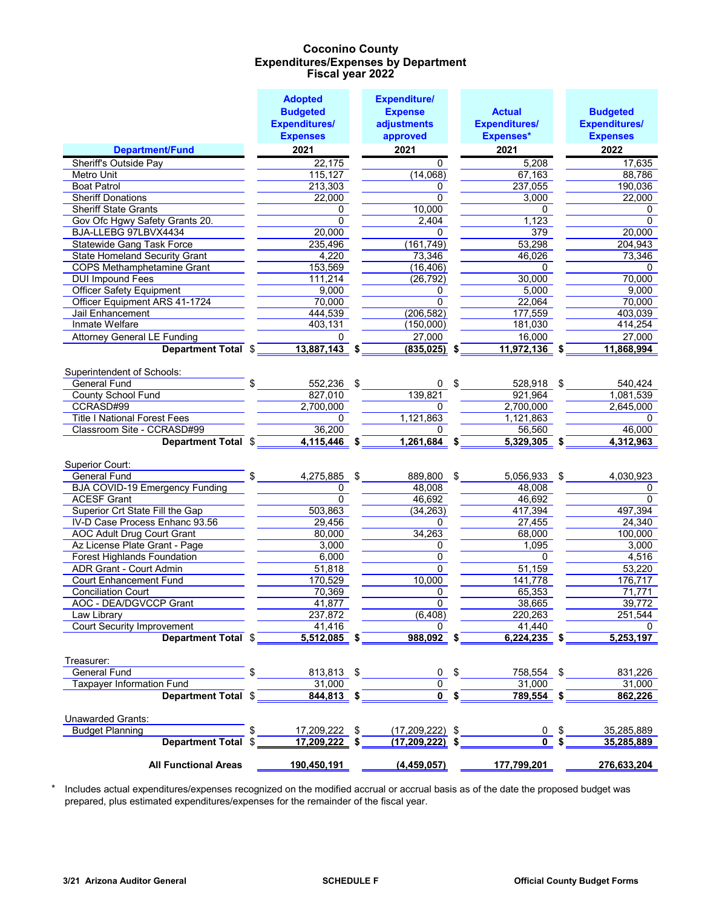|                                                          | <b>Adopted</b>        | <b>Expenditure/</b>     |      |                          |     |                      |
|----------------------------------------------------------|-----------------------|-------------------------|------|--------------------------|-----|----------------------|
|                                                          | <b>Budgeted</b>       | <b>Expense</b>          |      | <b>Actual</b>            |     | <b>Budgeted</b>      |
|                                                          | <b>Expenditures/</b>  | adjustments             |      | <b>Expenditures/</b>     |     | <b>Expenditures/</b> |
|                                                          | <b>Expenses</b>       | approved                |      | <b>Expenses*</b>         |     | <b>Expenses</b>      |
| <b>Department/Fund</b>                                   | 2021                  | 2021                    |      | 2021                     |     | 2022                 |
| Sheriff's Outside Pay                                    | 22,175                | 0                       |      | 5,208                    |     | 17,635               |
| Metro Unit                                               | 115,127               | (14,068)                |      | 67,163                   |     | 88,786               |
| <b>Boat Patrol</b>                                       | 213,303               | 0                       |      | 237,055                  |     | 190,036              |
| <b>Sheriff Donations</b>                                 | 22,000                | 0                       |      | 3,000                    |     | 22,000               |
| <b>Sheriff State Grants</b>                              | 0                     | 10,000                  |      | 0                        |     | 0                    |
| Gov Ofc Hgwy Safety Grants 20.                           | 0                     | 2,404                   |      | 1,123                    |     | $\overline{0}$       |
| BJA-LLEBG 97LBVX4434                                     | 20,000                | 0                       |      | 379                      |     | 20,000               |
| <b>Statewide Gang Task Force</b>                         | 235,496               | (161, 749)              |      | 53,298                   |     | 204,943              |
| <b>State Homeland Security Grant</b>                     | 4,220                 | 73,346                  |      | 46,026                   |     | 73,346               |
| COPS Methamphetamine Grant                               | 153,569               | (16, 406)               |      | 0                        |     | 0                    |
| <b>DUI Impound Fees</b>                                  | 111,214               | (26, 792)               |      | 30,000                   |     | 70,000               |
| <b>Officer Safety Equipment</b>                          | 9,000                 | 0                       |      | 5,000                    |     | 9,000                |
| Officer Equipment ARS 41-1724                            | 70,000                | $\overline{0}$          |      | 22,064                   |     | 70,000               |
| Jail Enhancement                                         | 444,539               | (206, 582)              |      | 177,559                  |     | 403,039              |
| Inmate Welfare                                           | 403,131               | (150,000)               |      | 181,030                  |     | 414,254              |
| <b>Attorney General LE Funding</b>                       | 0                     | 27,000                  |      | 16,000                   |     | 27,000               |
| Department Total \$                                      | 13,887,143 \$         | $(835, 025)$ \$         |      | 11,972,136 \$            |     | 11,868,994           |
|                                                          |                       |                         |      |                          |     |                      |
| Superintendent of Schools:<br><b>General Fund</b>        | \$                    |                         | - \$ |                          |     |                      |
| <b>County School Fund</b>                                | 552,236 \$<br>827,010 | 0<br>139,821            |      | 528,918 \$<br>921,964    |     | 540,424<br>1,081,539 |
| CCRASD#99                                                | 2,700,000             | 0                       |      | 2,700,000                |     | 2,645,000            |
| <b>Title I National Forest Fees</b>                      |                       | 1,121,863               |      |                          |     |                      |
| Classroom Site - CCRASD#99                               | 0<br>36,200           | 0                       |      | 1,121,863<br>56,560      |     | 0<br>46,000          |
|                                                          | 4,115,446 \$          | $1,261,684$ \$          |      | $5,329,305$ \$           |     | 4,312,963            |
| Department Total \$                                      |                       |                         |      |                          |     |                      |
| Superior Court:                                          |                       |                         |      |                          |     |                      |
| <b>General Fund</b>                                      | \$<br>4,275,885       | \$<br>889,800           | \$   | 5,056,933 \$             |     | 4,030,923            |
| <b>BJA COVID-19 Emergency Funding</b>                    | 0                     | 48,008                  |      | 48,008                   |     | 0                    |
| <b>ACESF Grant</b>                                       | 0                     | 46,692                  |      | 46,692                   |     | 0                    |
| Superior Crt State Fill the Gap                          | 503,863               | (34, 263)               |      | 417,394                  |     | 497,394              |
| IV-D Case Process Enhanc 93.56                           |                       |                         |      |                          |     |                      |
| <b>AOC Adult Drug Court Grant</b>                        |                       |                         |      |                          |     |                      |
|                                                          | 29,456                | 0                       |      | 27,455                   |     | 24,340               |
|                                                          | 80,000                | 34,263                  |      | 68,000                   |     | 100,000              |
| Az License Plate Grant - Page                            | 3,000                 | 0                       |      | 1,095                    |     | 3,000                |
| <b>Forest Highlands Foundation</b>                       | 6,000                 | 0                       |      | 0                        |     | 4,516                |
| ADR Grant - Court Admin                                  | 51,818                | $\mathbf 0$             |      | 51,159                   |     | 53,220               |
| <b>Court Enhancement Fund</b>                            | 170,529               | 10,000                  |      | 141,778                  |     | 176,717              |
| <b>Conciliation Court</b>                                | 70,369                | 0<br>0                  |      | 65,353                   |     | 71,771               |
| <b>AOC - DEA/DGVCCP Grant</b>                            | 41,877                |                         |      | 38,665                   |     | 39,772               |
| Law Library                                              | 237,872<br>41.416     | (6, 408)<br>0           |      | 220,263                  |     | 251,544<br>0         |
| <b>Court Security Improvement</b><br>Department Total \$ | $5,512,085$ \$        | $988,092$ \$            |      | 41,440<br>$6,224,235$ \$ |     | 5,253,197            |
|                                                          |                       |                         |      |                          |     |                      |
| Treasurer:                                               |                       |                         |      |                          |     |                      |
| <b>General Fund</b>                                      | \$<br>813,813 \$      | 0                       | -\$  | 758,554 \$               |     | 831,226              |
| <b>Taxpayer Information Fund</b>                         | 31,000                | 0                       |      | 31,000                   |     | 31,000               |
| Department Total \$                                      | $844,813$ \$          | $\overline{0}$ \$       |      | $789,554$ \$             |     | 862,226              |
| <b>Unawarded Grants:</b>                                 |                       |                         |      |                          |     |                      |
| <b>Budget Planning</b>                                   | 17,209,222            | \$<br>$(17,209,222)$ \$ |      | 0                        | -\$ | 35,285,889           |
| Department Total \$                                      | 17,209,222            | $(17, 209, 222)$ \$     |      | U                        |     | 35,285,889           |
| <b>All Functional Areas</b>                              | 190,450,191           | (4, 459, 057)           |      | 177,799,201              |     | 276,633,204          |

\* Includes actual expenditures/expenses recognized on the modified accrual or accrual basis as of the date the proposed budget was prepared, plus estimated expenditures/expenses for the remainder of the fiscal year.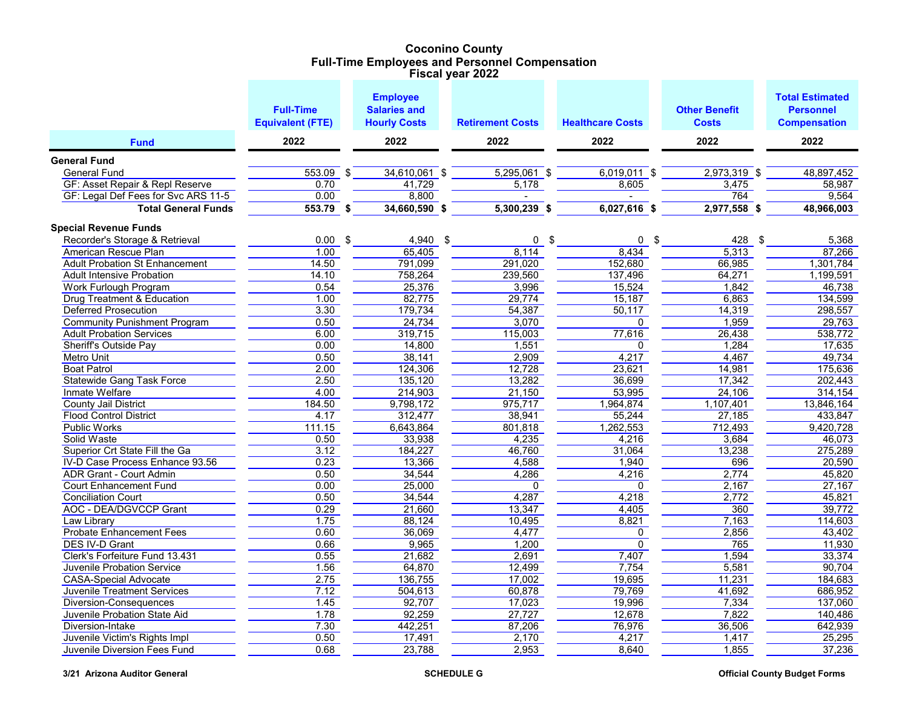#### **Coconino County Full-Time Employees and Personnel Compensation Fiscal year 2022**

|                                       | <b>Full-Time</b>        | <b>Employee</b><br><b>Salaries and</b> |                         |                         | <b>Other Benefit</b> | <b>Total Estimated</b><br><b>Personnel</b> |
|---------------------------------------|-------------------------|----------------------------------------|-------------------------|-------------------------|----------------------|--------------------------------------------|
|                                       | <b>Equivalent (FTE)</b> | <b>Hourly Costs</b>                    | <b>Retirement Costs</b> | <b>Healthcare Costs</b> | <b>Costs</b>         | <b>Compensation</b>                        |
| <b>Fund</b>                           | 2022                    | 2022                                   | 2022                    | 2022                    | 2022                 | 2022                                       |
| <b>General Fund</b>                   |                         |                                        |                         |                         |                      |                                            |
| <b>General Fund</b>                   | $553.09$ \$             | 34,610,061 \$                          | $5,295,061$ \$          | $6,019,011$ \$          | $2,973,319$ \$       | 48,897,452                                 |
| GF: Asset Repair & Repl Reserve       | 0.70                    | 41,729                                 | 5,178                   | 8,605                   | 3,475                | 58,987                                     |
| GF: Legal Def Fees for Svc ARS 11-5   | 0.00                    | 8,800                                  |                         |                         | 764                  | 9,564                                      |
| <b>Total General Funds</b>            | $553.79$ \$             | 34,660,590 \$                          | $5,300,239$ \$          | $6,027,616$ \$          | $2,977,558$ \$       | 48,966,003                                 |
| <b>Special Revenue Funds</b>          |                         |                                        |                         |                         |                      |                                            |
| Recorder's Storage & Retrieval        | 0.00                    | \$<br>4,940                            | \$<br>0                 | \$<br>0                 | \$<br>428<br>\$      | 5,368                                      |
| American Rescue Plan                  | 1.00                    | 65,405                                 | 8,114                   | 8,434                   | 5,313                | 87,266                                     |
| <b>Adult Probation St Enhancement</b> | 14.50                   | 791.099                                | 291,020                 | 152.680                 | 66,985               | 1,301,784                                  |
| <b>Adult Intensive Probation</b>      | 14.10                   | 758,264                                | 239,560                 | 137,496                 | 64,271               | 1,199,591                                  |
| <b>Work Furlough Program</b>          | 0.54                    | 25,376                                 | 3,996                   | 15,524                  | 1,842                | 46.738                                     |
| <b>Drug Treatment &amp; Education</b> | 1.00                    | 82,775                                 | 29,774                  | 15,187                  | 6,863                | 134,599                                    |
| <b>Deferred Prosecution</b>           | 3.30                    | 179,734                                | 54,387                  | 50,117                  | 14,319               | 298,557                                    |
| <b>Community Punishment Program</b>   | 0.50                    | 24,734                                 | 3,070                   | 0                       | 1,959                | 29,763                                     |
| <b>Adult Probation Services</b>       | 6.00                    | 319,715                                | 115,003                 | 77,616                  | 26,438               | 538,772                                    |
| <b>Sheriff's Outside Pay</b>          | 0.00                    | 14,800                                 | 1,551                   | 0                       | 1,284                | 17,635                                     |
| <b>Metro Unit</b>                     | 0.50                    | 38,141                                 | 2,909                   | 4,217                   | 4,467                | 49,734                                     |
| <b>Boat Patrol</b>                    | 2.00                    | 124,306                                | 12,728                  | 23,621                  | 14,981               | 175,636                                    |
| <b>Statewide Gang Task Force</b>      | 2.50                    | 135,120                                | 13,282                  | 36,699                  | 17,342               | 202,443                                    |
| Inmate Welfare                        | 4.00                    | 214,903                                | 21,150                  | 53,995                  | 24,106               | 314.154                                    |
| <b>County Jail District</b>           | 184.50                  | 9,798,172                              | 975,717                 | 1,964,874               | 1,107,401            | 13,846,164                                 |
| <b>Flood Control District</b>         | 4.17                    | 312,477                                | 38,941                  | 55,244                  | 27,185               | 433,847                                    |
| <b>Public Works</b>                   | 111.15                  | 6,643,864                              | 801,818                 | 1,262,553               | 712,493              | 9,420,728                                  |
| Solid Waste                           | 0.50                    | 33,938                                 | 4,235                   | 4,216                   | 3,684                | 46,073                                     |
| Superior Crt State Fill the Ga        | 3.12                    | 184,227                                | 46,760                  | 31,064                  | 13,238               | 275,289                                    |
| IV-D Case Process Enhance 93.56       | 0.23                    | 13,366                                 | 4,588                   | 1,940                   | 696                  | 20,590                                     |
| <b>ADR Grant - Court Admin</b>        | 0.50                    | 34,544                                 | 4,286                   | 4,216                   | 2,774                | 45,820                                     |
| <b>Court Enhancement Fund</b>         | 0.00                    | 25,000                                 | $\Omega$                | 0                       | 2,167                | 27,167                                     |
| <b>Conciliation Court</b>             | 0.50                    | 34,544                                 | 4,287                   | 4,218                   | 2,772                | 45,821                                     |
| <b>AOC - DEA/DGVCCP Grant</b>         | 0.29                    | 21,660                                 | 13,347                  | 4.405                   | 360                  | 39.772                                     |
| <b>Law Library</b>                    | 1.75                    | 88,124                                 | 10,495                  | 8,821                   | 7,163                | 114,603                                    |
| <b>Probate Enhancement Fees</b>       | 0.60                    | 36,069                                 | 4,477                   | 0                       | 2,856                | 43,402                                     |
| DES IV-D Grant                        | 0.66                    | 9,965                                  | 1,200                   | 0                       | 765                  | 11,930                                     |
| Clerk's Forfeiture Fund 13.431        | 0.55                    | 21,682                                 | 2,691                   | 7,407                   | 1,594                | 33,374                                     |
| Juvenile Probation Service            | 1.56                    | 64,870                                 | 12,499                  | 7,754                   | 5,581                | 90,704                                     |
| <b>CASA-Special Advocate</b>          | 2.75                    | 136,755                                | 17,002                  | 19,695                  | 11,231               | 184,683                                    |
| <b>Juvenile Treatment Services</b>    | 7.12                    | 504,613                                | 60,878                  | 79,769                  | 41,692               | 686,952                                    |
| Diversion-Consequences                | 1.45                    | 92,707                                 | 17,023                  | 19,996                  | 7,334                | 137,060                                    |
| Juvenile Probation State Aid          | 1.78                    | 92,259                                 | 27,727                  | 12,678                  | 7,822                | 140,486                                    |
| Diversion-Intake                      | 7.30                    | 442,251                                | 87,206                  | 76,976                  | 36,506               | 642,939                                    |
| Juvenile Victim's Rights Impl         | 0.50                    | 17,491                                 | 2,170                   | 4,217                   | 1,417                | 25,295                                     |
| Juvenile Diversion Fees Fund          | 0.68                    | 23,788                                 | 2,953                   | 8,640                   | 1,855                | 37,236                                     |